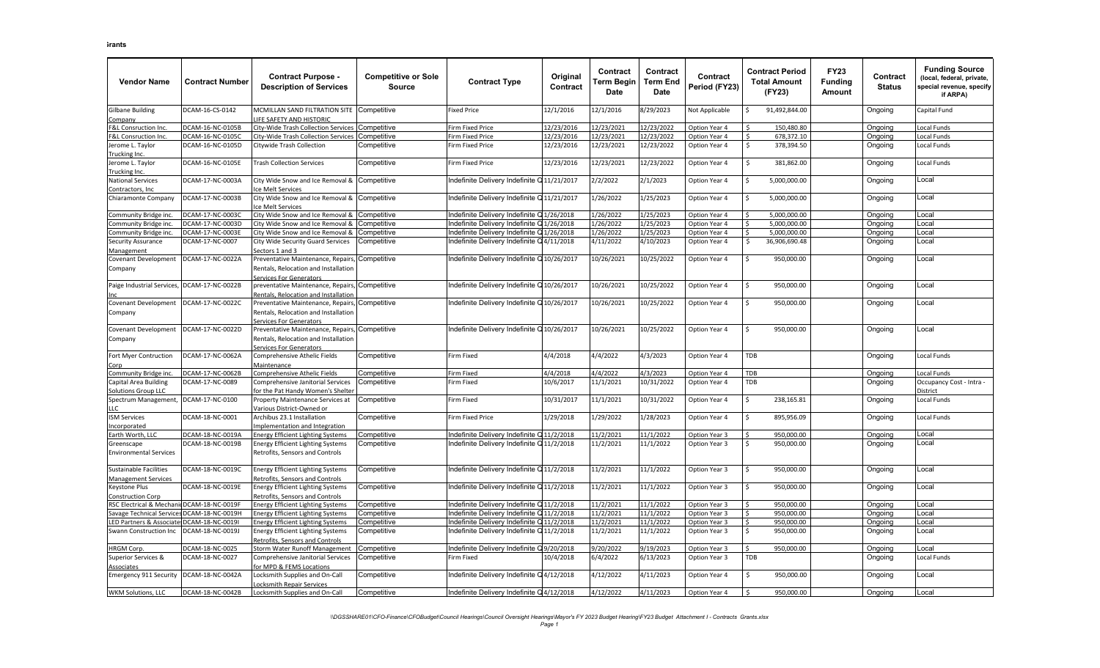| <b>Vendor Name</b>                                   | <b>Contract Number</b> | <b>Contract Purpose -</b><br><b>Description of Services</b>                                           | <b>Competitive or Sole</b><br><b>Source</b> | <b>Contract Type</b>                       | Original<br>Contract | <b>Contract</b><br><b>Term Begin</b><br>Date | Contract<br><b>Term End</b><br>Date | Contract<br>Period (FY23) | <b>Contract Period</b><br><b>Total Amount</b><br>(FY23) | <b>FY23</b><br><b>Funding</b><br>Amount | Contract<br><b>Status</b> | <b>Funding Source</b><br>(local, federal, private,<br>special revenue, specify<br>if ARPA) |
|------------------------------------------------------|------------------------|-------------------------------------------------------------------------------------------------------|---------------------------------------------|--------------------------------------------|----------------------|----------------------------------------------|-------------------------------------|---------------------------|---------------------------------------------------------|-----------------------------------------|---------------------------|--------------------------------------------------------------------------------------------|
| <b>Gilbane Building</b>                              | DCAM-16-CS-0142        | MCMILLAN SAND FILTRATION SITE Competitive                                                             |                                             | <b>Fixed Price</b>                         | 12/1/2016            | 12/1/2016                                    | 8/29/2023                           | Not Applicable            | 91,492,844.00<br>\$                                     |                                         | Ongoing                   | Capital Fund                                                                               |
| Company                                              |                        | FE SAFETY AND HISTORIC                                                                                |                                             |                                            |                      |                                              |                                     |                           |                                                         |                                         |                           |                                                                                            |
| F&L Consruction Inc.                                 | DCAM-16-NC-0105B       | ity-Wide Trash Collection Services                                                                    | Competitive                                 | Firm Fixed Price                           | 12/23/2016           | 12/23/2021                                   | $\frac{1}{12}/23/2022$              | Option Year 4             | 150.480.80                                              |                                         | Ongoing                   | ocal Funds                                                                                 |
| F&L Consruction Inc.                                 | DCAM-16-NC-0105C       | City-Wide Trash Collection Services                                                                   | Competitive                                 | irm Fixed Price                            | 12/23/2016           | 12/23/2021                                   | 12/23/2022                          | Option Year 4             | 678,372.10<br>Ś.                                        |                                         | Ongoing                   | ocal Funds                                                                                 |
| Jerome L. Taylor                                     | DCAM-16-NC-0105D       | Citywide Trash Collection                                                                             | Competitive                                 | irm Fixed Price                            | 12/23/2016           | 12/23/2021                                   | 12/23/2022                          | Option Year 4             | Ś.<br>378,394.50                                        |                                         | Ongoing                   | Local Funds                                                                                |
| Trucking Inc.                                        |                        |                                                                                                       |                                             |                                            |                      |                                              |                                     |                           |                                                         |                                         |                           |                                                                                            |
| Jerome L. Taylor                                     | DCAM-16-NC-0105E       | <b>Trash Collection Services</b>                                                                      | Competitive                                 | <b>Firm Fixed Price</b>                    | 12/23/2016           | 12/23/2021                                   | 12/23/2022                          | Option Year 4             | \$<br>381,862.00                                        |                                         | Ongoing                   | Local Funds                                                                                |
| Trucking Inc.                                        | DCAM-17-NC-0003A       |                                                                                                       |                                             | ndefinite Delivery Indefinite Q11/21/2017  |                      |                                              |                                     |                           | Ś                                                       |                                         |                           | _ocal                                                                                      |
| <b>National Services</b><br>Contractors, Inc.        |                        | City Wide Snow and Ice Removal &<br>e Melt Services                                                   | Competitive                                 |                                            |                      | 2/2/2022                                     | 2/1/2023                            | Option Year 4             | 5,000,000.00                                            |                                         | Ongoing                   |                                                                                            |
| Chiaramonte Company                                  | DCAM-17-NC-0003B       | Competitive Snow and Ice Removal & Competitive<br>e Melt Services                                     |                                             | Indefinite Delivery Indefinite Q11/21/2017 |                      | 1/26/2022                                    | 1/25/2023                           | Option Year 4             | \$.<br>5,000,000.00                                     |                                         | Ongoing                   | Local                                                                                      |
| Community Bridge inc.                                | DCAM-17-NC-0003C       | City Wide Snow and Ice Removal &                                                                      | Competitive                                 | ndefinite Delivery Indefinite Q1/26/2018   |                      | 1/26/2022                                    | 1/25/2023                           | Option Year 4             | 5,000,000.00                                            |                                         | Ongoing                   | Local                                                                                      |
| Community Bridge inc.                                | DCAM-17-NC-0003D       | City Wide Snow and Ice Removal &                                                                      | Competitive                                 | ndefinite Delivery Indefinite Q1/26/2018   |                      | 1/26/2022                                    | 1/25/2023                           | Option Year 4             | 5,000,000.00<br>$\zeta$                                 |                                         | Ongoing                   | .ocal                                                                                      |
| Community Bridge inc.                                | DCAM-17-NC-0003E       | City Wide Snow and Ice Removal &                                                                      | Competitive                                 | ndefinite Delivery Indefinite Q1/26/2018   |                      | 1/26/2022                                    | 1/25/2023                           | Option Year 4             | 5,000,000.00<br>$\hat{\zeta}$                           |                                         | Ongoing                   | _ocal                                                                                      |
| Security Assurance                                   | DCAM-17-NC-0007        | City Wide Security Guard Services                                                                     | Competitive                                 | ndefinite Delivery Indefinite Q4/11/2018   |                      | 4/11/2022                                    | 4/10/2023                           | Option Year 4             | \$<br>36,906,690.48                                     |                                         | Ongoing                   | Local                                                                                      |
| Management                                           |                        | ectors 1 and 3                                                                                        |                                             |                                            |                      |                                              |                                     |                           |                                                         |                                         |                           |                                                                                            |
| Covenant Development<br>Company                      | DCAM-17-NC-0022A       | Preventative Maintenance, Repairs,<br>Rentals, Relocation and Installation<br>ervices For Generators  | Competitive                                 | ndefinite Delivery Indefinite Q10/26/2017  |                      | 10/26/2021                                   | 10/25/2022                          | Option Year 4             | ς.<br>950,000.00                                        |                                         | Ongoing                   | Local                                                                                      |
| Paige Industrial Services,                           | DCAM-17-NC-0022B       | preventative Maintenance, Repairs,<br>Rentals, Relocation and Installation                            | Competitive                                 | Indefinite Delivery Indefinite Q10/26/2017 |                      | 10/26/2021                                   | 10/25/2022                          | Option Year 4             | \$<br>950,000.00                                        |                                         | Ongoing                   | Local                                                                                      |
| <b>Covenant Development</b><br>Company               | DCAM-17-NC-0022C       | Preventative Maintenance, Repairs,<br>Rentals, Relocation and Installation<br>Services For Generators | Competitive                                 | ndefinite Delivery Indefinite Q10/26/2017  |                      | 10/26/2021                                   | 10/25/2022                          | Option Year 4             | 950,000.00                                              |                                         | Ongoing                   | Local                                                                                      |
| Covenant Development<br>Company                      | DCAM-17-NC-0022D       | Preventative Maintenance, Repairs,<br>Rentals, Relocation and Installation<br>Services For Generators | Competitive                                 | Indefinite Delivery Indefinite Q10/26/2017 |                      | 10/26/2021                                   | 10/25/2022                          | Option Year 4             | Ŝ.<br>950,000.00                                        |                                         | Ongoing                   | Local                                                                                      |
| Fort Myer Contruction<br>Corp                        | DCAM-17-NC-0062A       | Comprehensive Athelic Fields<br>Maintenance                                                           | Competitive                                 | Firm Fixed                                 | 4/4/2018             | 4/4/2022                                     | 4/3/2023                            | Option Year 4             | TDB                                                     |                                         | Ongoing                   | Local Funds                                                                                |
| Community Bridge inc.                                | DCAM-17-NC-0062B       | Comprehensive Athelic Fields                                                                          | Competitive                                 | Firm Fixed                                 | 4/4/2018             | 4/4/2022                                     | 4/3/2023                            | Option Year 4             | <b>TDB</b>                                              |                                         | Ongoing                   | Local Funds                                                                                |
| Capital Area Building                                | DCAM-17-NC-0089        | Comprehensive Janitorial Services                                                                     | Competitive                                 | Firm Fixed                                 | 10/6/2017            | 11/1/2021                                    | 10/31/2022                          | Option Year 4             | TDB                                                     |                                         | Ongoing                   | Occupancy Cost - Intra -                                                                   |
| <b>Solutions Group LLC</b>                           |                        | or the Pat Handy Women's Shelter                                                                      |                                             |                                            |                      |                                              |                                     |                           |                                                         |                                         |                           | District                                                                                   |
| Spectrum Management,                                 | DCAM-17-NC-0100        | Property Maintenance Services at                                                                      | Competitive                                 | Firm Fixed                                 | 10/31/2017           | 11/1/2021                                    | 10/31/2022                          | Option Year 4             | Ŝ.<br>238,165.81                                        |                                         | Ongoing                   | Local Funds                                                                                |
|                                                      |                        | /arious District-Owned or                                                                             |                                             |                                            |                      |                                              |                                     |                           |                                                         |                                         |                           |                                                                                            |
| <b>ISM Services</b>                                  | DCAM-18-NC-0001        | Archibus 23.1 Installation                                                                            | Competitive                                 | Firm Fixed Price                           | 1/29/2018            | 1/29/2022                                    | 1/28/2023                           | Option Year 4             | 895,956.09<br>$\mathsf{S}$                              |                                         | Ongoing                   | Local Funds                                                                                |
| Incorporated                                         |                        | mplementation and Integration                                                                         |                                             |                                            |                      |                                              |                                     |                           |                                                         |                                         |                           |                                                                                            |
| Earth Worth, LLC                                     | DCAM-18-NC-0019A       | <b>Energy Efficient Lighting Systems</b>                                                              | Competitive                                 | ndefinite Delivery Indefinite              | Q 11/2/2018          | 11/2/2021                                    | 11/1/2022                           | Option Year 3             | 950.000.00                                              |                                         | Ongoing                   | _ocal                                                                                      |
| Greenscape<br><b>Environmental Services</b>          | DCAM-18-NC-0019B       | <b>Energy Efficient Lighting Systems</b><br>Retrofits, Sensors and Controls                           | Competitive                                 | ndefinite Delivery Indefinite Q11/2/2018   |                      | 11/2/2021                                    | 11/1/2022                           | Option Year 3             | 950,000.00<br>Ŝ.                                        |                                         | Ongoing                   | _ocal                                                                                      |
| Sustainable Facilities<br><b>Management Services</b> | DCAM-18-NC-0019C       | <b>Energy Efficient Lighting Systems</b><br>Retrofits, Sensors and Controls                           | Competitive                                 | ndefinite Delivery Indefinite Q11/2/2018   |                      | 11/2/2021                                    | 11/1/2022                           | Option Year 3             | \$<br>950,000.00                                        |                                         | Ongoing                   | Local                                                                                      |
| Keystone Plus<br>Construction Corp                   | DCAM-18-NC-0019E       | <b>Energy Efficient Lighting Systems</b><br>etrofits, Sensors and Controls                            | Competitive                                 | Indefinite Delivery Indefinite Q 11/2/2018 |                      | 11/2/2021                                    | 11/1/2022                           | Option Year 3             | \$<br>950,000.00                                        |                                         | Ongoing                   | Local                                                                                      |
| RSC Electrical & MechanicDCAM-18-NC-0019F            |                        | <b>Energy Efficient Lighting Systems</b>                                                              | Competitive                                 | ndefinite Delivery Indefinite Q11/2/2018   |                      | 11/2/2021                                    | 11/1/2022                           | Option Year 3             | 950,000.00                                              |                                         | Ongoing                   | .ocal                                                                                      |
| Savage Technical Service                             | DCAM-18-NC-0019H       | nergy Efficient Lighting Systems                                                                      | Competitive                                 | ndefinite Delivery Indefinite Q11/2/2018   |                      | 11/2/2021                                    | 11/1/2022                           | Option Year 3             | 950,000.00<br>Ś                                         |                                         | Ongoing                   | ocal                                                                                       |
| LED Partners & Associates DCAM-18-NC-0019I           |                        | <b>Energy Efficient Lighting Systems</b>                                                              | Competitive                                 | ndefinite Delivery Indefinite Q11/2/2018   |                      | 11/2/2021                                    | 11/1/2022                           | Option Year 3             | 950,000.00<br>Ŝ.                                        |                                         | Ongoing                   | _ocal                                                                                      |
| Swann Construction Inc                               | DCAM-18-NC-0019J       | Energy Efficient Lighting Systems<br>Retrofits, Sensors and Controls                                  | Competitive                                 | ndefinite Delivery Indefinite Q 11/2/2018  |                      | 11/2/2021                                    | 11/1/2022                           | Option Year 3             | \$<br>950,000.00                                        |                                         | Ongoing                   | Local                                                                                      |
| <b>HRGM Corp.</b>                                    | DCAM-18-NC-0025        | Storm Water Runoff Management                                                                         | Competitive                                 | ndefinite Delivery Indefinite Q9/20/2018   |                      | 9/20/2022                                    | 9/19/2023                           | Option Year 3             | 950,000.00                                              |                                         | Ongoing                   | Local                                                                                      |
| Superior Services &<br>Associates                    | DCAM-18-NC-0027        | Comprehensive Janitorial Services<br>or MPD & FEMS Locations                                          | Competitive                                 | irm Fixed                                  | 10/4/2018            | 6/4/2022                                     | $\frac{1}{6}$ /13/2023              | Option Year 3             | <b>TDB</b>                                              |                                         | Ongoing                   | Local Funds                                                                                |
| <b>Emergency 911 Security</b>                        | DCAM-18-NC-0042A       | ocksmith Supplies and On-Call                                                                         | Competitive                                 | ndefinite Delivery Indefinite Q4/12/2018   |                      | 4/12/2022                                    | 4/11/2023                           | Option Year 4             | Ś<br>950,000.00                                         |                                         | Ongoing                   | Local                                                                                      |
| WKM Solutions, LLC                                   | DCAM-18-NC-0042B       | ocksmith Repair Services<br>Locksmith Supplies and On-Call                                            | Competitive                                 | Indefinite Delivery Indefinite Q 4/12/2018 |                      | 4/12/2022                                    | 4/11/2023                           | Option Year 4             | 950,000.00<br>Ŝ.                                        |                                         | Ongoing                   | Local                                                                                      |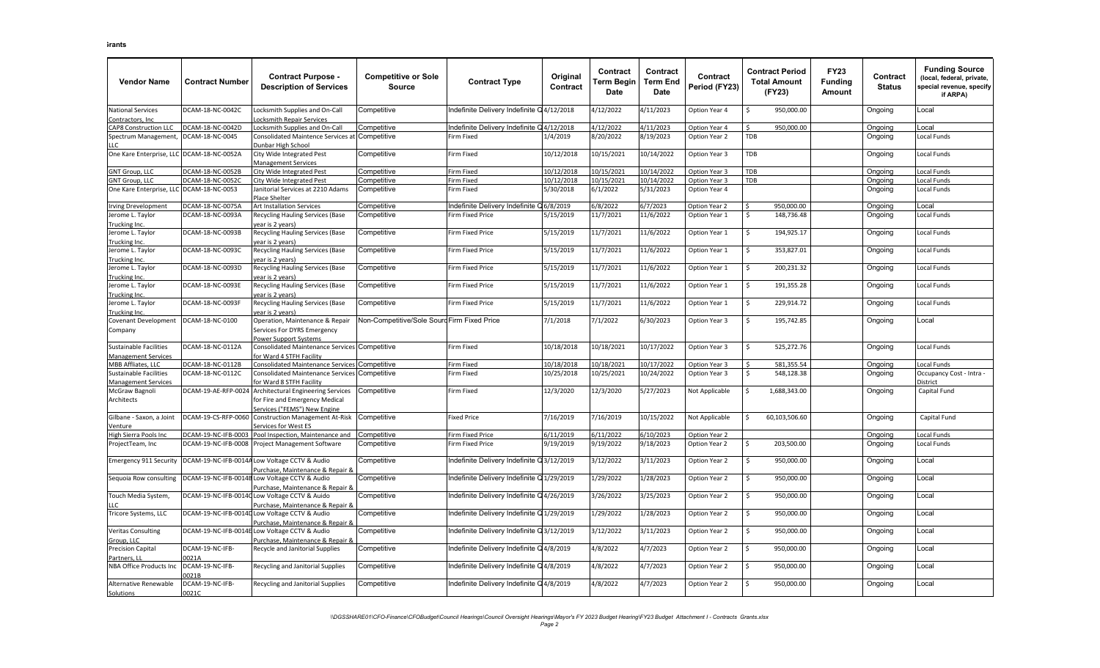| <b>Vendor Name</b>                | <b>Contract Number</b> | <b>Contract Purpose -</b><br><b>Description of Services</b> | <b>Competitive or Sole</b><br><b>Source</b> | <b>Contract Type</b>                      | Original<br>Contract | Contract<br>Term Begin<br><b>Date</b> | Contract<br><b>Term End</b><br><b>Date</b> | <b>Contract</b><br>Period (FY23) | <b>Contract Period</b><br><b>Total Amount</b><br>(FY23) | <b>FY23</b><br><b>Funding</b><br>Amount | Contract<br><b>Status</b> | <b>Funding Source</b><br>(local, federal, private,<br>special revenue, specify<br>if ARPA) |
|-----------------------------------|------------------------|-------------------------------------------------------------|---------------------------------------------|-------------------------------------------|----------------------|---------------------------------------|--------------------------------------------|----------------------------------|---------------------------------------------------------|-----------------------------------------|---------------------------|--------------------------------------------------------------------------------------------|
| <b>National Services</b>          | DCAM-18-NC-0042C       | ocksmith Supplies and On-Call                               | Competitive                                 | ndefinite Delivery Indefinite Q 4/12/2018 |                      | 4/12/2022                             | 4/11/2023                                  | Option Year 4                    | 950,000.00<br>Ŝ.                                        |                                         | Ongoing                   | _ocal                                                                                      |
| Contractors, Inc.                 |                        | ocksmith Repair Services                                    |                                             |                                           |                      |                                       |                                            |                                  |                                                         |                                         |                           |                                                                                            |
| CAP8 Construction LLC             | DCAM-18-NC-0042D       | ocksmith Supplies and On-Call                               | Competitive                                 | ndefinite Delivery Indefinite             | Q4/12/2018           | 4/12/2022                             | 4/11/2023                                  | Option Year 4                    | ¢<br>950.000.00                                         |                                         | Ongoing                   | _ocal                                                                                      |
| Spectrum Management               | CAM-18-NC-0045         | Consolidated Maintence Services at                          | Competitive                                 | Firm Fixed                                | 1/4/2019             | 8/20/2022                             | 8/19/2023                                  | Option Year 2                    | TDB                                                     |                                         | Ongoing                   | Local Funds                                                                                |
| LC.                               |                        | <b>Junbar High School</b>                                   |                                             |                                           |                      |                                       |                                            |                                  |                                                         |                                         |                           |                                                                                            |
| One Kare Enterprise, LLC          | DCAM-18-NC-0052A       | City Wide Integrated Pest<br><b>Management Services</b>     | Competitive                                 | Firm Fixed                                | 10/12/2018           | 10/15/2021                            | 10/14/2022                                 | Option Year 3                    | TDB                                                     |                                         | Ongoing                   | Local Funds                                                                                |
| <b>GNT Group, LLC</b>             | DCAM-18-NC-0052B       | City Wide Integrated Pest                                   | Competitive                                 | Firm Fixed                                | 10/12/2018           | 10/15/2021                            | 10/14/2022                                 | Option Year 3                    | <b>TDB</b>                                              |                                         | Ongoing                   | Local Funds                                                                                |
| <b>GNT Group, LLC</b>             | DCAM-18-NC-0052C       | City Wide Integrated Pest                                   | Competitive                                 | Firm Fixed                                | 10/12/2018           | 10/15/2021                            | 10/14/2022                                 | Option Year 3                    | <b>TDB</b>                                              |                                         | Ongoing                   | Local Funds                                                                                |
| One Kare Enterprise, LLC          | DCAM-18-NC-0053        | anitorial Services at 2210 Adams<br>Place Shelter           | Competitive                                 | Firm Fixed                                | 5/30/2018            | 6/1/2022                              | 5/31/2023                                  | Option Year 4                    |                                                         |                                         | Ongoing                   | Local Funds                                                                                |
| Irving Drevelopment               | DCAM-18-NC-0075A       | Art Installation Services                                   | Competitive                                 | ndefinite Delivery Indefinite             | 6/8/2019             | 6/8/2022                              | 6/7/2023                                   | Option Year 2                    | 950,000.00                                              |                                         | Ongoing                   | Local                                                                                      |
| Jerome L. Taylor                  | DCAM-18-NC-0093A       | <b>Recycling Hauling Services (Base</b>                     | Competitive                                 | irm Fixed Price                           | 5/15/2019            | 11/7/2021                             | 11/6/2022                                  | Option Year 1                    | Ś.<br>148,736.48                                        |                                         | Ongoing                   | ocal Funds                                                                                 |
| Trucking Inc.                     |                        | ear is 2 years)                                             |                                             |                                           |                      |                                       |                                            |                                  |                                                         |                                         |                           |                                                                                            |
| Jerome L. Taylor                  | DCAM-18-NC-0093B       | <b>Recycling Hauling Services (Base</b>                     | Competitive                                 | Firm Fixed Price                          | 5/15/2019            | 11/7/2021                             | 11/6/2022                                  | Option Year 1                    | \$<br>194,925.17                                        |                                         | Ongoing                   | Local Funds                                                                                |
| Trucking Inc.                     |                        | vear is 2 vears)                                            |                                             |                                           |                      |                                       |                                            |                                  |                                                         |                                         |                           |                                                                                            |
| Jerome L. Taylor                  | DCAM-18-NC-0093C       | Recycling Hauling Services (Base                            | Competitive                                 | Firm Fixed Price                          | 5/15/2019            | 11/7/2021                             | 11/6/2022                                  | Option Year 1                    | \$<br>353,827.01                                        |                                         | Ongoing                   | Local Funds                                                                                |
| Trucking Inc.                     |                        | ear is 2 vears)                                             |                                             |                                           |                      |                                       |                                            |                                  |                                                         |                                         |                           |                                                                                            |
| Jerome L. Taylor<br>Trucking Inc. | DCAM-18-NC-0093D       | Recycling Hauling Services (Base<br>ear is 2 years)         | Competitive                                 | irm Fixed Price                           | 5/15/2019            | 11/7/2021                             | 11/6/2022                                  | Option Year 1                    | Ś.<br>200,231.32                                        |                                         | Ongoing                   | Local Funds                                                                                |
| Jerome L. Taylor                  | DCAM-18-NC-0093E       | Recycling Hauling Services (Base                            | Competitive                                 | <b>Firm Fixed Price</b>                   | 5/15/2019            | 11/7/2021                             | 11/6/2022                                  | Option Year 1                    | 191,355.28<br>\$                                        |                                         | Ongoing                   | Local Funds                                                                                |
| Trucking Inc.                     |                        | ear is 2 vears)                                             |                                             |                                           |                      |                                       |                                            |                                  |                                                         |                                         |                           |                                                                                            |
| Jerome L. Taylor                  | DCAM-18-NC-0093F       | <b>Recycling Hauling Services (Base</b>                     | Competitive                                 | <b>Firm Fixed Price</b>                   | 5/15/2019            | 11/7/2021                             | 11/6/2022                                  | Option Year 1                    | Ś.<br>229,914.72                                        |                                         | Ongoing                   | Local Funds                                                                                |
| Trucking Inc                      |                        | ear is 2 vears)                                             |                                             |                                           |                      |                                       |                                            |                                  |                                                         |                                         |                           |                                                                                            |
| <b>Covenant Development</b>       | OCAM-18-NC-0100        | Operation, Maintenance & Repair                             | Non-Competitive/Sole Sourd Firm Fixed Price |                                           | 7/1/2018             | 7/1/2022                              | 6/30/2023                                  | Option Year 3                    | \$<br>195,742.85                                        |                                         | Ongoing                   | _ocal                                                                                      |
| Company                           |                        | Services For DYRS Emergency                                 |                                             |                                           |                      |                                       |                                            |                                  |                                                         |                                         |                           |                                                                                            |
|                                   |                        | Yower Support Systems                                       |                                             |                                           |                      |                                       |                                            |                                  |                                                         |                                         |                           |                                                                                            |
| Sustainable Facilities            | DCAM-18-NC-0112A       | Consolidated Maintenance Services Competitive               |                                             | Firm Fixed                                | 10/18/2018           | 10/18/2021                            | 10/17/2022                                 | Option Year 3                    | 525,272.76<br>Ŝ.                                        |                                         | Ongoing                   | Local Funds                                                                                |
| Management Services               |                        | or Ward 4 STFH Facility                                     |                                             |                                           |                      |                                       |                                            |                                  |                                                         |                                         |                           |                                                                                            |
| MBB Affliates, LLC                | DCAM-18-NC-0112B       | Consolidated Maintenance Services Competitive               |                                             | Firm Fixed                                | 10/18/2018           | 10/18/2021                            | 10/17/2022                                 | Option Year 3                    | 581,355.54<br>ς.                                        |                                         | Ongoing                   | Local Funds                                                                                |
| Sustainable Facilities            | DCAM-18-NC-0112C       | Consolidated Maintenance Services                           | Competitive                                 | irm Fixed                                 | 10/25/2018           | 10/25/2021                            | 10/24/2022                                 | Option Year 3                    | \$<br>548,128.38                                        |                                         | Ongoing                   | - Occupancy Cost - Intra                                                                   |
| <b>Management Services</b>        |                        | or Ward 8 STFH Facility                                     |                                             |                                           |                      |                                       |                                            |                                  |                                                         |                                         |                           | )istrict                                                                                   |
| McGraw Bagnoli                    | DCAM-19-AE-RFP-0024    | Architectural Engineering Services                          | Competitive                                 | irm Fixed                                 | 12/3/2020            | 12/3/2020                             | 5/27/2023                                  | Not Applicable                   | 1,688,343.00<br>Ś                                       |                                         | Ongoing                   | Capital Fund                                                                               |
| Architects                        |                        | for Fire and Emergency Medical                              |                                             |                                           |                      |                                       |                                            |                                  |                                                         |                                         |                           |                                                                                            |
|                                   |                        | ervices ("FEMS") New Engine                                 |                                             |                                           |                      |                                       |                                            |                                  |                                                         |                                         |                           |                                                                                            |
| Gilbane - Saxon, a Joint          | DCAM-19-CS-RFP-0060    | <b>Construction Management At-Risk</b>                      | Competitive                                 | <b>Fixed Price</b>                        | 7/16/2019            | 7/16/2019                             | 10/15/2022                                 | Not Applicable                   | \$<br>60,103,506.60                                     |                                         | Ongoing                   | Capital Fund                                                                               |
| Venture                           |                        | Services for West ES                                        |                                             |                                           |                      |                                       |                                            |                                  |                                                         |                                         |                           |                                                                                            |
| High Sierra Pools Inc             | DCAM-19-NC-IFB-0003    | Pool Inspection, Maintenance and                            | Competitive                                 | irm Fixed Price                           | 5/11/2019            | 6/11/2022                             | 6/10/2023                                  | Option Year 2                    |                                                         |                                         | Ongoing                   | ocal Funds                                                                                 |
| ProjectTeam, Inc                  | DCAM-19-NC-IFB-0008    | Project Management Software                                 | Competitive                                 | irm Fixed Price                           | 9/19/2019            | 9/19/2022                             | 9/18/2023                                  | Option Year 2                    | Ś<br>203,500.00                                         |                                         | Ongoing                   | Local Funds                                                                                |
|                                   |                        |                                                             |                                             |                                           |                      |                                       |                                            |                                  |                                                         |                                         |                           |                                                                                            |
| <b>Emergency 911 Security</b>     |                        | DCAM-19-NC-IFB-0014A Low Voltage CCTV & Audio               | Competitive                                 | ndefinite Delivery Indefinite Q3/12/2019  |                      | 3/12/2022                             | 3/11/2023                                  | Option Year 2                    | Ŝ.<br>950,000.00                                        |                                         | Ongoing                   | _ocal                                                                                      |
|                                   |                        | urchase, Maintenance & Repair &                             |                                             |                                           |                      |                                       |                                            |                                  |                                                         |                                         |                           |                                                                                            |
| Sequoia Row consulting            | DCAM-19-NC-IFB-0014    | Low Voltage CCTV & Audio                                    | Competitive                                 | ndefinite Delivery Indefinite Q1/29/2019  |                      | 1/29/2022                             | 1/28/2023                                  | Option Year 2                    | Ś.<br>950,000.00                                        |                                         | Ongoing                   | Local                                                                                      |
|                                   |                        | Purchase. Maintenance & Repair &                            |                                             |                                           |                      |                                       |                                            |                                  |                                                         |                                         |                           |                                                                                            |
| Touch Media System,               | DCAM-19-NC-IFB-0014    | Low Voltage CCTV & Auido                                    | Competitive                                 | Indefinite Delivery Indefinite Q4/26/2019 |                      | 3/26/2022                             | 3/25/2023                                  | Option Year 2                    | Ś.<br>950,000.00                                        |                                         | Ongoing                   | Local                                                                                      |
|                                   |                        | urchase, Maintenance & Repair &                             |                                             |                                           |                      |                                       |                                            |                                  |                                                         |                                         |                           |                                                                                            |
| Tricore Systems, LLC              |                        | DCAM-19-NC-IFB-0014D Low Voltage CCTV & Audio               | Competitive                                 | Indefinite Delivery Indefinite Q1/29/2019 |                      | 1/29/2022                             | 1/28/2023                                  | Option Year 2                    | Ś.<br>950,000.00                                        |                                         | Ongoing                   | Local                                                                                      |
|                                   |                        | urchase, Maintenance & Repair &                             |                                             |                                           |                      |                                       |                                            |                                  |                                                         |                                         |                           |                                                                                            |
| <b>Veritas Consulting</b>         | DCAM-19-NC-IFB-0014    | Low Voltage CCTV & Audio                                    | Competitive                                 | Indefinite Delivery Indefinite Q3/12/2019 |                      | 3/12/2022                             | 3/11/2023                                  | Option Year 2                    | \$<br>950,000.00                                        |                                         | Ongoing                   | _ocal                                                                                      |
| Group, LLC                        |                        | urchase, Maintenance & Repair &                             |                                             |                                           |                      |                                       |                                            |                                  |                                                         |                                         |                           |                                                                                            |
| <b>Precision Capital</b>          | DCAM-19-NC-IFB-        | Recycle and Janitorial Supplies                             | Competitive                                 | ndefinite Delivery Indefinite Q4/8/2019   |                      | 4/8/2022                              | 4/7/2023                                   | Option Year 2                    | ς<br>950,000.00                                         |                                         | Ongoing                   | .ocal                                                                                      |
| Partners, LL                      | 0021A                  |                                                             |                                             |                                           |                      |                                       |                                            |                                  |                                                         |                                         |                           |                                                                                            |
| <b>NBA Office Products Inc</b>    | DCAM-19-NC-IFB-        | Recycling and Janitorial Supplies                           | Competitive                                 | ndefinite Delivery Indefinite Q 4/8/2019  |                      | 4/8/2022                              | 4/7/2023                                   | Option Year 2                    | Ś<br>950,000.00                                         |                                         | Ongoing                   | .ocal                                                                                      |
|                                   | 0021B                  |                                                             |                                             |                                           |                      |                                       |                                            |                                  |                                                         |                                         |                           |                                                                                            |
| Alternative Renewable             | DCAM-19-NC-IFB-        | Recycling and Janitorial Supplies                           | Competitive                                 | Indefinite Delivery Indefinite Q4/8/2019  |                      | 4/8/2022                              | 4/7/2023                                   | Option Year 2                    | l \$<br>950,000.00                                      |                                         | Ongoing                   | _ocal                                                                                      |
| Solutions                         | 0021C                  |                                                             |                                             |                                           |                      |                                       |                                            |                                  |                                                         |                                         |                           |                                                                                            |
|                                   |                        |                                                             |                                             |                                           |                      |                                       |                                            |                                  |                                                         |                                         |                           |                                                                                            |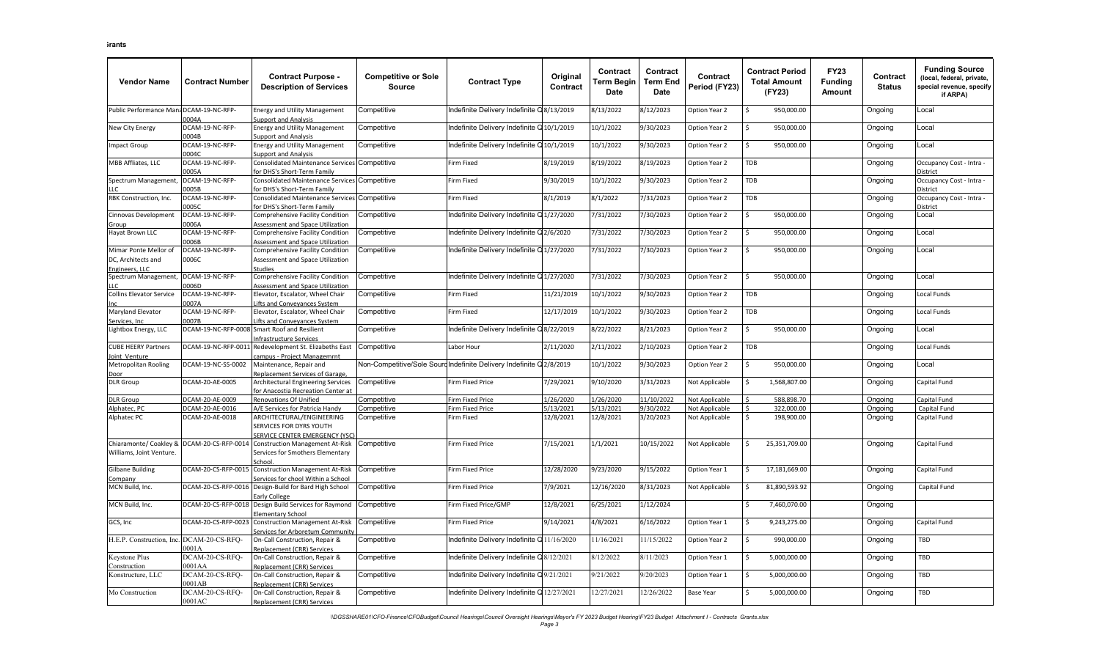| <b>Vendor Name</b>                                            | <b>Contract Number</b>          | <b>Contract Purpose -</b><br><b>Description of Services</b>                                   | <b>Competitive or Sole</b><br><b>Source</b> | <b>Contract Type</b>                                                | Original<br>Contract | Contract<br>Term Begin<br>Date | Contract<br><b>Term End</b><br><b>Date</b> | Contract<br>Period (FY23) | <b>Contract Period</b><br><b>Total Amount</b><br>(FY23) | <b>FY23</b><br><b>Funding</b><br><b>Amount</b> | Contract<br><b>Status</b> | <b>Funding Source</b><br>(local, federal, private,<br>special revenue, specify<br>if ARPA) |
|---------------------------------------------------------------|---------------------------------|-----------------------------------------------------------------------------------------------|---------------------------------------------|---------------------------------------------------------------------|----------------------|--------------------------------|--------------------------------------------|---------------------------|---------------------------------------------------------|------------------------------------------------|---------------------------|--------------------------------------------------------------------------------------------|
| Public Performance Mar                                        | DCAM-19-NC-RFP-<br>0004A        | <b>Energy and Utility Management</b><br><b>Support and Analysis</b>                           | Competitive                                 | ndefinite Delivery Indefinite Q8/13/2019                            |                      | 8/13/2022                      | 8/12/2023                                  | Option Year 2             | 950,000.00                                              |                                                | Ongoing                   | Local                                                                                      |
| New City Energy                                               | DCAM-19-NC-RFP-<br>004B         | <b>Energy and Utility Management</b><br><b>Support and Analysis</b>                           | Competitive                                 | ndefinite Delivery Indefinite                                       | Q10/1/2019           | 10/1/2022                      | 9/30/2023                                  | Option Year 2             | 950,000.00<br><sup>5</sup>                              |                                                | Ongoing                   | Local                                                                                      |
| <b>Impact Group</b>                                           | DCAM-19-NC-RFP-<br>0004C        | <b>Energy and Utility Management</b><br><b>Support and Analysis</b>                           | Competitive                                 | ndefinite Delivery Indefinite                                       | Q10/1/2019           | 10/1/2022                      | 9/30/2023                                  | Option Year 2             | 950,000.00                                              |                                                | Ongoing                   | .ocal                                                                                      |
| MBB Affliates, LLC                                            | OCAM-19-NC-RFP-<br>0005A        | <b>Consolidated Maintenance Services</b><br>for DHS's Short-Term Family                       | Competitive                                 | Firm Fixed                                                          | 8/19/2019            | 8/19/2022                      | 8/19/2023                                  | Option Year 2             | TDB                                                     |                                                | Ongoing                   | Occupancy Cost - Intra -<br>District                                                       |
| Spectrum Management<br>LLC                                    | DCAM-19-NC-RFP-<br>0005B        | Consolidated Maintenance Services Competitive<br>for DHS's Short-Term Family                  |                                             | Firm Fixed                                                          | 9/30/2019            | 10/1/2022                      | 9/30/2023                                  | Option Year 2             | TDB                                                     |                                                | Ongoing                   | Occupancy Cost - Intra -<br><b>District</b>                                                |
| RBK Construction, Inc.                                        | OCAM-19-NC-RFP-<br>005C         | Consolidated Maintenance Services Competitive<br>for DHS's Short-Term Family                  |                                             | Firm Fixed                                                          | 8/1/2019             | 8/1/2022                       | 7/31/2023                                  | Option Year 2             | TDB                                                     |                                                | Ongoing                   | - Occupancy Cost - Intra<br><b>District</b>                                                |
| Cinnovas Development<br>Group                                 | OCAM-19-NC-RFP-<br>006A         | Comprehensive Facility Condition<br>Assessment and Space Utilization                          | Competitive                                 | Indefinite Delivery Indefinite Q1/27/2020                           |                      | 7/31/2022                      | 7/30/2023                                  | Option Year 2             | 950,000.00                                              |                                                | Ongoing                   | .ocal                                                                                      |
| Hayat Brown LLC                                               | OCAM-19-NC-RFP-<br>006B         | Comprehensive Facility Condition<br>Assessment and Space Utilization                          | ompetitive:                                 | ndefinite Delivery Indefinite Q2/6/2020                             |                      | 7/31/2022                      | 7/30/2023                                  | Option Year 2             | 950,000.00<br>Ś                                         |                                                | Ongoing                   | .ocal                                                                                      |
| Mimar Ponte Mellor of<br>DC, Architects and<br>Engineers. LLC | OCAM-19-NC-RFP-<br>0006C        | Comprehensive Facility Condition<br>Assessment and Space Utilization<br>studies               | Competitive                                 | ndefinite Delivery Indefinite Q1/27/2020                            |                      | 7/31/2022                      | 7/30/2023                                  | Option Year 2             | 950,000.00<br>Ś                                         |                                                | Ongoing                   | Local                                                                                      |
| Spectrum Management<br>$\overline{1}$                         | CAM-19-NC-RFP-<br>006D          | Comprehensive Facility Condition<br>Assessment and Space Utilization                          | ompetitive:                                 | ndefinite Delivery Indefinite Q1/27/2020                            |                      | 7/31/2022                      | 7/30/2023                                  | Option Year 2             | Ś<br>950,000.00                                         |                                                | Ongoing                   | .ocal                                                                                      |
| <b>Collins Elevator Service</b>                               | DCAM-19-NC-RFP-<br>0007A        | Elevator, Escalator, Wheel Chair<br>ifts and Conveyances System                               | Competitive                                 | Firm Fixed                                                          | 11/21/2019           | 10/1/2022                      | 9/30/2023                                  | Option Year 2             | TDB                                                     |                                                | Ongoing                   | ocal Funds                                                                                 |
| Maryland Elevator<br>Services, Inc.                           | CAM-19-NC-RFP-<br>0007B         | Elevator, Escalator, Wheel Chair<br>ifts and Conveyances System                               | Competitive                                 | Firm Fixed                                                          | 12/17/2019           | 10/1/2022                      | 9/30/2023                                  | Option Year 2             | TDB                                                     |                                                | Ongoing                   | Local Funds                                                                                |
| Lightbox Energy, LLC                                          |                                 | DCAM-19-NC-RFP-0008 Smart Roof and Resilient<br>nfrastructure Services                        | Competitive                                 | ndefinite Delivery Indefinite                                       | Q8/22/2019           | 8/22/2022                      | 8/21/2023                                  | Option Year 2             | Ś<br>950,000.00                                         |                                                | Ongoing                   | Local                                                                                      |
| <b>CUBE HEERY Partners</b><br>oint Venture                    | DCAM-19-NC-RFP-0011             | Redevelopment St. Elizabeths East<br>ampus - Project Managemrnt                               | Competitive                                 | Labor Hour                                                          | 2/11/2020            | 2/11/2022                      | 2/10/2023                                  | Option Year 2             | TDB                                                     |                                                | Ongoing                   | Local Funds                                                                                |
| Metropolitan Rooling<br>Door                                  | OCAM-19-NC-SS-0002              | Maintenance, Repair and<br>Replacement Services of Garage,                                    |                                             | Non-Competitive/Sole Sourd Indefinite Delivery Indefinite Q2/8/2019 |                      | 10/1/2022                      | 9/30/2023                                  | Option Year 2             | Ś<br>950,000.00                                         |                                                | Ongoing                   | Local                                                                                      |
| <b>DLR Group</b>                                              | DCAM-20-AE-0005                 | <b>Architectural Engineering Services</b><br>for Anacostia Recreation Center at               | Competitive                                 | Firm Fixed Price                                                    | 7/29/2021            | 9/10/2020                      | 3/31/2023                                  | Not Applicable            | 1,568,807.00<br>Ś.                                      |                                                | Ongoing                   | Capital Fund                                                                               |
| <b>DLR</b> Group                                              | CAM-20-AE-0009                  | <b>Renovations Of Unified</b>                                                                 | Competitive                                 | Firm Fixed Price                                                    | 1/26/2020            | 1/26/2020                      | 11/10/2022                                 | Not Applicable            | 588,898.70                                              |                                                | Ongoing                   | Capital Fund                                                                               |
| Alphatec, PC                                                  | CAM-20-AE-0016                  | A/E Services for Patricia Handy                                                               | <b>Competitive</b>                          | <b>Firm Fixed Price</b>                                             | 5/13/2021            | 5/13/2021                      | 9/30/2022                                  | Not Applicable            | 322,000.00                                              |                                                | Ongoing                   | Capital Fund                                                                               |
| Alphatec PC                                                   | OCAM-20-AE-0018                 | ARCHITECTURAL/ENGINEERING<br>SERVICES FOR DYRS YOUTH<br><b>SERVICE CENTER EMERGENCY (YSC)</b> | Competitive                                 | Firm Fixed                                                          | 12/8/2021            | 12/8/2021                      | 3/20/2023                                  | Not Applicable            | Ŝ.<br>198,900.00                                        |                                                | Ongoing                   | Capital Fund                                                                               |
| Chiaramonte/ Coakley 8<br>Williams, Joint Venture.            | DCAM-20-CS-RFP-0014             | <b>Construction Management At-Risk</b><br>Services for Smothers Elementary<br>Schoo           | Competitive                                 | <b>Firm Fixed Price</b>                                             | 7/15/2021            | 1/1/2021                       | 10/15/2022                                 | Not Applicable            | 25,351,709.00<br>Ś                                      |                                                | Ongoing                   | Capital Fund                                                                               |
| Gilbane Building<br>Company                                   | DCAM-20-CS-RFP-0015             | <b>Construction Management At-Risk</b><br>Services for chool Within a School                  | Competitive                                 | Firm Fixed Price                                                    | 12/28/2020           | 9/23/2020                      | 9/15/2022                                  | Option Year 1             | 17,181,669.00                                           |                                                | Ongoing                   | Capital Fund                                                                               |
| MCN Build, Inc.                                               | DCAM-20-CS-RFP-0016             | Design-Build for Bard High School<br>arly College                                             | Competitive                                 | Firm Fixed Price                                                    | 7/9/2021             | 12/16/2020                     | 8/31/2023                                  | Not Applicable            | 81,890,593.92<br>Ŝ.                                     |                                                | Ongoing                   | Capital Fund                                                                               |
| MCN Build, Inc.                                               |                                 | DCAM-20-CS-RFP-0018 Design Build Services for Raymond<br><b>Elementary School</b>             | Competitive                                 | Firm Fixed Price/GMP                                                | 12/8/2021            | 6/25/2021                      | 1/12/2024                                  |                           | 7,460,070.00                                            |                                                | Ongoing                   |                                                                                            |
| GCS, Inc                                                      | DCAM-20-CS-RFP-0023             | <b>Construction Management At-Risk</b><br>Services for Arboretum Community                    | Competitive                                 | Firm Fixed Price                                                    | 9/14/2021            | 4/8/2021                       | 6/16/2022                                  | Option Year 1             | 9,243,275.00<br>Ś                                       |                                                | Ongoing                   | Capital Fund                                                                               |
| H.E.P. Construction, Inc                                      | DCAM-20-CS-RFQ-<br>0001A        | On-Call Construction, Repair &<br>Replacement (CRR) Services                                  | Competitive                                 | Indefinite Delivery Indefinite Q 11/16/2020                         |                      | 11/16/2021                     | 11/15/2022                                 | Option Year 2             | 990,000.00<br>ς.                                        |                                                | Ongoing                   | TBD                                                                                        |
| <b>Ceystone Plus</b><br>Construction                          | <b>DCAM-20-CS-RFO-</b><br>001AA | On-Call Construction, Repair &<br><b>Replacement (CRR) Services</b>                           | Competitive                                 | Indefinite Delivery Indefinite Q8/12/2021                           |                      | 8/12/2022                      | 3/11/2023                                  | Option Year 1             | 5,000,000.00                                            |                                                | Ongoing                   | TBD                                                                                        |
| Constructure, LLC                                             | DCAM-20-CS-RFQ-<br>001AB        | On-Call Construction, Repair &<br>Replacement (CRR) Services                                  | Competitive                                 | Indefinite Delivery Indefinite Q9/21/2021                           |                      | 9/21/2022                      | 9/20/2023                                  | Option Year 1             | 5,000,000.00                                            |                                                | Ongoing                   | TBD                                                                                        |
| Mo Construction                                               | DCAM-20-CS-RFQ-<br>0001AC       | On-Call Construction, Repair &<br>Replacement (CRR) Services                                  | Competitive                                 | ndefinite Delivery Indefinite Q12/27/2021                           |                      | 12/27/2021                     | 12/26/2022                                 | Base Year                 | 5,000,000.00                                            |                                                | Ongoing                   | TBD                                                                                        |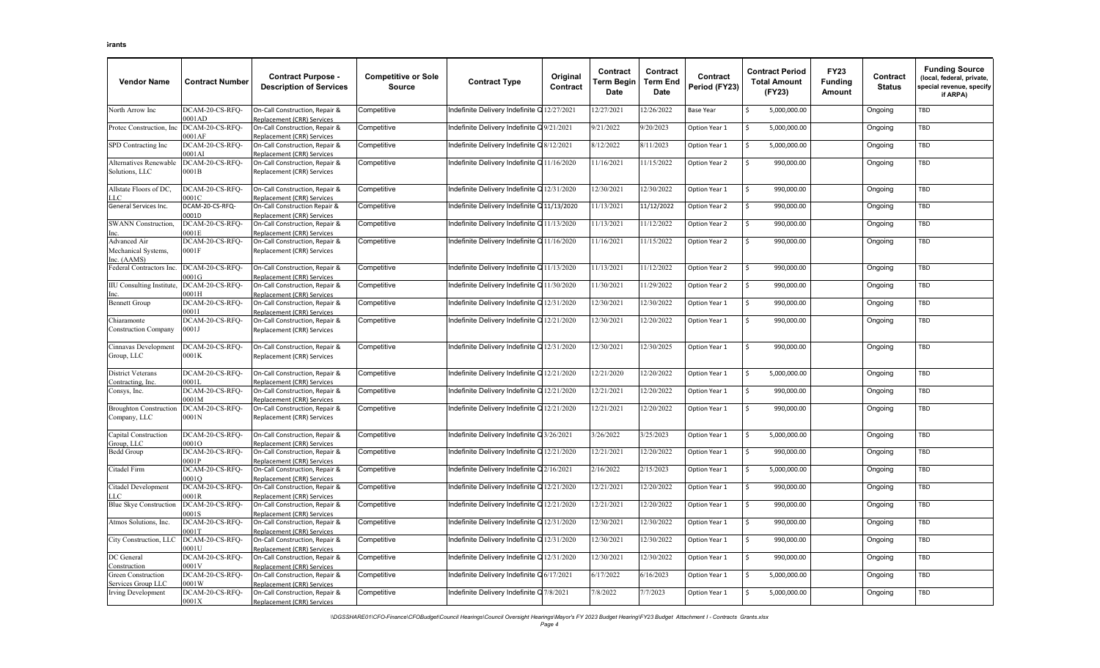| <b>Vendor Name</b>                                 | <b>Contract Number</b>    | <b>Contract Purpose -</b><br><b>Description of Services</b>  | <b>Competitive or Sole</b><br><b>Source</b> | <b>Contract Type</b>                        | Original<br>Contract | <b>Contract</b><br>Term Begin<br>Date | Contract<br><b>Term End</b><br>Date | Contract<br>Period (FY23) | <b>Contract Period</b><br><b>Total Amount</b><br>(FY23) | <b>FY23</b><br><b>Funding</b><br>Amount | Contract<br><b>Status</b> | <b>Funding Source</b><br>(local, federal, private,<br>special revenue, specify<br>if ARPA) |
|----------------------------------------------------|---------------------------|--------------------------------------------------------------|---------------------------------------------|---------------------------------------------|----------------------|---------------------------------------|-------------------------------------|---------------------------|---------------------------------------------------------|-----------------------------------------|---------------------------|--------------------------------------------------------------------------------------------|
| North Arrow Inc                                    | DCAM-20-CS-RFQ-<br>0001AD | On-Call Construction, Repair &<br>Replacement (CRR) Services | Competitive                                 | ndefinite Delivery Indefinite Q 12/27/2021  |                      | 12/27/2021                            | 12/26/2022                          | Base Year                 | 5,000,000.00<br>S                                       |                                         | Ongoing                   | TBD                                                                                        |
| Protec Construction, Inc                           | DCAM-20-CS-RFQ-<br>0001AF | On-Call Construction, Repair &<br>Replacement (CRR) Services | Competitive                                 | Indefinite Delivery Indefinite Q9/21/2021   |                      | 9/21/2022                             | 9/20/2023                           | Option Year 1             | 5,000,000.00<br>\$                                      |                                         | Ongoing                   | TBD                                                                                        |
| SPD Contracting Inc                                | DCAM-20-CS-RFQ-<br>0001AI | On-Call Construction, Repair &<br>Replacement (CRR) Services | Competitive                                 | ndefinite Delivery Indefinite Q8/12/2021    |                      | 8/12/2022                             | 8/11/2023                           | Option Year 1             | 5,000,000.00                                            |                                         | Ongoing                   | TBD                                                                                        |
| Alternatives Renewable<br>Solutions, LLC           | DCAM-20-CS-RFQ-<br>0001B  | On-Call Construction, Repair &<br>Replacement (CRR) Services | Competitive                                 | Indefinite Delivery Indefinite Q11/16/2020  |                      | 11/16/2021                            | 11/15/2022                          | Option Year 2             | Ŝ.<br>990,000.00                                        |                                         | Ongoing                   | TBD                                                                                        |
| Allstate Floors of DC,<br>LLC                      | DCAM-20-CS-RFQ-<br>0001C  | On-Call Construction, Repair &<br>Replacement (CRR) Services | Competitive                                 | ndefinite Delivery Indefinite Q 12/31/2020  |                      | 12/30/2021                            | 12/30/2022                          | Option Year 1             | Ŝ.<br>990,000.00                                        |                                         | Ongoing                   | TBD                                                                                        |
| General Services Inc.                              | DCAM-20-CS-RFQ-<br>0001D  | On-Call Construction Repair &<br>Replacement (CRR) Services  | Competitive                                 | ndefinite Delivery Indefinite Q11/13/2020   |                      | 11/13/2021                            | 11/12/2022                          | Option Year 2             | Ŝ.<br>990,000.00                                        |                                         | Ongoing                   | TBD                                                                                        |
| <b>SWANN</b> Construction,                         | DCAM-20-CS-RFQ-<br>0001E  | On-Call Construction, Repair &<br>Replacement (CRR) Services | Competitive                                 | Indefinite Delivery Indefinite Q 11/13/2020 |                      | 11/13/2021                            | 11/12/2022                          | Option Year 2             | \$<br>990,000.00                                        |                                         | Ongoing                   | TBD                                                                                        |
| Advanced Air<br>Mechanical Systems,<br>Inc. (AAMS) | DCAM-20-CS-RFO-<br>0001F  | On-Call Construction, Repair &<br>Replacement (CRR) Services | Competitive                                 | ndefinite Delivery Indefinite Q11/16/2020   |                      | 11/16/2021                            | 11/15/2022                          | Option Year 2             | \$<br>990,000.00                                        |                                         | Ongoing                   | TBD                                                                                        |
| Federal Contractors Inc                            | DCAM-20-CS-RFO-<br>0001G  | On-Call Construction, Repair &<br>Replacement (CRR) Services | Competitive                                 | Indefinite Delivery Indefinite Q11/13/2020  |                      | 11/13/2021                            | 11/12/2022                          | Option Year 2             | \$<br>990,000.00                                        |                                         | Ongoing                   | TBD                                                                                        |
| <b>IIU</b> Consulting Institute,<br>Inc            | DCAM-20-CS-RFQ-<br>0001H  | On-Call Construction, Repair &<br>Replacement (CRR) Services | Competitive                                 | ndefinite Delivery Indefinite Q11/30/2020   |                      | 11/30/2021                            | 11/29/2022                          | Option Year 2             | 990,000.00<br>Ŝ.                                        |                                         | Ongoing                   | TBD                                                                                        |
| <b>Bennett Group</b>                               | DCAM-20-CS-RFQ-<br>00011  | On-Call Construction, Repair &<br>eplacement (CRR) Services  | Competitive                                 | Indefinite Delivery Indefinite Q12/31/2020  |                      | 12/30/2021                            | 12/30/2022                          | Option Year 1             | 990,000.00<br>Ŝ.                                        |                                         | Ongoing                   | TBD                                                                                        |
| Chiaramonte<br><b>Construction Company</b>         | DCAM-20-CS-RFQ-<br>0001J  | On-Call Construction, Repair &<br>Replacement (CRR) Services | Competitive                                 | ndefinite Delivery Indefinite Q12/21/2020   |                      | 12/30/2021                            | 12/20/2022                          | Option Year 1             | <sup>\$</sup><br>990,000.00                             |                                         | Ongoing                   | TBD                                                                                        |
| Cinnavas Development<br>Group, LLC                 | DCAM-20-CS-RFQ-<br>0001K  | On-Call Construction, Repair &<br>Replacement (CRR) Services | Competitive                                 | Indefinite Delivery Indefinite Q12/31/2020  |                      | 12/30/2021                            | 12/30/2025                          | Option Year 1             | Ŝ.<br>990,000.00                                        |                                         | Ongoing                   | TBD                                                                                        |
| <b>District Veterans</b><br>Contracting, Inc.      | DCAM-20-CS-RFQ-<br>0001L  | On-Call Construction, Repair &<br>eplacement (CRR) Services  | Competitive                                 | ndefinite Delivery Indefinite Q 12/21/2020  |                      | 12/21/2020                            | 12/20/2022                          | Option Year 1             | 5,000,000.00<br>Ś                                       |                                         | Ongoing                   | TBD                                                                                        |
| Consys, Inc.                                       | DCAM-20-CS-RFQ-<br>0001M  | On-Call Construction, Repair &<br>Replacement (CRR) Services | Competitive                                 | Indefinite Delivery Indefinite Q 12/21/2020 |                      | 12/21/2021                            | 12/20/2022                          | Option Year 1             | \$.<br>990,000.00                                       |                                         | Ongoing                   | TBD                                                                                        |
| <b>Broughton Construction</b><br>Company, LLC      | DCAM-20-CS-RFQ-<br>0001N  | On-Call Construction, Repair &<br>Replacement (CRR) Services | Competitive                                 | Indefinite Delivery Indefinite Q12/21/2020  |                      | 12/21/2021                            | 12/20/2022                          | Option Year 1             | 990,000.00<br>Ŝ.                                        |                                         | Ongoing                   | TBD                                                                                        |
| Capital Construction<br>Group, LLC                 | DCAM-20-CS-RFO-<br>0001O  | On-Call Construction, Repair &<br>Replacement (CRR) Services | Competitive                                 | Indefinite Delivery Indefinite Q3/26/2021   |                      | 3/26/2022                             | 3/25/2023                           | Option Year 1             | Ŝ.<br>5,000,000.00                                      |                                         | Ongoing                   | TBD                                                                                        |
| Bedd Group                                         | DCAM-20-CS-RFQ-<br>0001P  | On-Call Construction, Repair &<br>Replacement (CRR) Services | Competitive                                 | Indefinite Delivery Indefinite Q12/21/2020  |                      | 12/21/2021                            | 12/20/2022                          | Option Year 1             | 990,000.00<br>Ŝ.                                        |                                         | Ongoing                   | TBD                                                                                        |
| Citadel Firm                                       | DCAM-20-CS-RFQ-<br>0001O  | On-Call Construction, Repair &<br>Replacement (CRR) Services | Competitive                                 | ndefinite Delivery Indefinite Q2/16/2021    |                      | 2/16/2022                             | 2/15/2023                           | Option Year 1             | 5,000,000.00<br>Ś                                       |                                         | Ongoing                   | TBD                                                                                        |
| Citadel Development<br>LС                          | DCAM-20-CS-RFO-<br>0001R  | On-Call Construction, Repair &<br>eplacement (CRR) Services  | Competitive                                 | Indefinite Delivery Indefinite Q12/21/2020  |                      | 12/21/2021                            | 12/20/2022                          | Option Year 1             | \$<br>990,000.00                                        |                                         | Ongoing                   | TBD                                                                                        |
| <b>Blue Skye Construction</b>                      | DCAM-20-CS-RFQ-<br>0001S  | On-Call Construction, Repair &<br>Replacement (CRR) Services | Competitive                                 | ndefinite Delivery Indefinite Q 12/21/2020  |                      | 12/21/2021                            | 12/20/2022                          | Option Year 1             | 990,000.00<br>Ŝ.                                        |                                         | Ongoing                   | TBD                                                                                        |
| Atmos Solutions, Inc.                              | DCAM-20-CS-RFQ-<br>0001T  | On-Call Construction, Repair &<br>Replacement (CRR) Services | Competitive                                 | Indefinite Delivery Indefinite Q12/31/2020  |                      | 12/30/2021                            | 12/30/2022                          | Option Year 1             | 990,000.00<br>\$                                        |                                         | Ongoing                   | TBD                                                                                        |
| City Construction, LLC                             | DCAM-20-CS-RFO-<br>0001U  | On-Call Construction, Repair &<br>Replacement (CRR) Services | Competitive                                 | ndefinite Delivery Indefinite Q12/31/2020   |                      | 12/30/2021                            | 12/30/2022                          | Option Year 1             | 990,000.00<br>Ŝ.                                        |                                         | Ongoing                   | TBD                                                                                        |
| DC General<br>Construction                         | DCAM-20-CS-RFQ-<br>0001V  | On-Call Construction, Repair &<br>Replacement (CRR) Services | Competitive                                 | ndefinite Delivery Indefinite Q 12/31/2020  |                      | 12/30/2021                            | 12/30/2022                          | Option Year 1             | 990,000.00<br>Ś                                         |                                         | Ongoing                   | TBD                                                                                        |
| Green Construction<br>Services Group LLC           | DCAM-20-CS-RFQ-<br>0001W  | On-Call Construction, Repair &<br>eplacement (CRR) Services  | Competitive                                 | Indefinite Delivery Indefinite Q6/17/2021   |                      | 6/17/2022                             | 6/16/2023                           | Option Year 1             | 5,000,000.00<br>Ś                                       |                                         | Ongoing                   | TBD                                                                                        |
| <b>Irving Development</b>                          | DCAM-20-CS-RFQ-<br>0001X  | On-Call Construction, Repair &<br>Replacement (CRR) Services | Competitive                                 | ndefinite Delivery Indefinite Q7/8/2021     |                      | 7/8/2022                              | 7/7/2023                            | Option Year 1             | 5,000,000.00<br>Ŝ.                                      |                                         | Ongoing                   | TBD                                                                                        |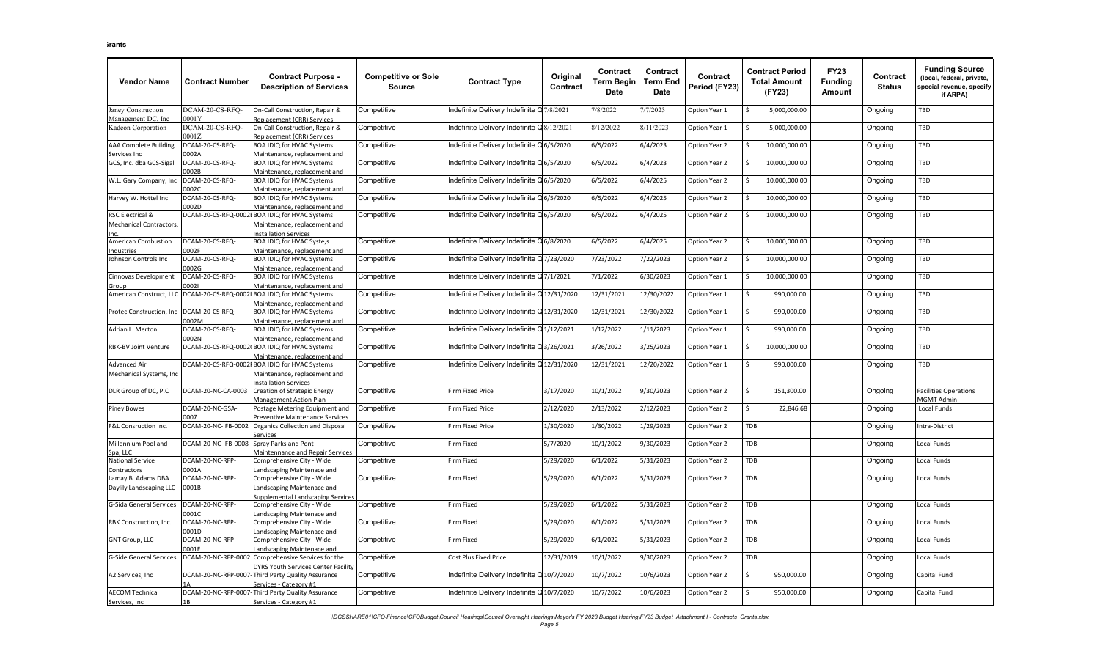| <b>Vendor Name</b>                                | <b>Contract Number</b>           | <b>Contract Purpose -</b><br><b>Description of Services</b>                                | <b>Competitive or Sole</b><br><b>Source</b> | <b>Contract Type</b>                       | Original<br>Contract | Contract<br>Term Begin<br>Date | Contract<br><b>Term End</b><br><b>Date</b> | Contract<br>Period (FY23) | <b>Contract Period</b><br><b>Total Amount</b><br>(FY23) | <b>FY23</b><br><b>Funding</b><br>Amount | Contract<br><b>Status</b> | <b>Funding Source</b><br>(local, federal, private,<br>special revenue, specify<br>if ARPA) |
|---------------------------------------------------|----------------------------------|--------------------------------------------------------------------------------------------|---------------------------------------------|--------------------------------------------|----------------------|--------------------------------|--------------------------------------------|---------------------------|---------------------------------------------------------|-----------------------------------------|---------------------------|--------------------------------------------------------------------------------------------|
| Janey Construction                                | DCAM-20-CS-RFO-                  | On-Call Construction, Repair &                                                             | Competitive                                 | Indefinite Delivery Indefinite Q7/8/2021   |                      | 7/8/2022                       | 7/7/2023                                   | Option Year 1             | 5,000,000.00<br>Ŝ.                                      |                                         | Ongoing                   | TBD                                                                                        |
| Management DC, Inc<br>Kadcon Corporation          | 0001Y<br>DCAM-20-CS-RFQ-<br>001Z | Replacement (CRR) Services<br>On-Call Construction, Repair &<br>Replacement (CRR) Services | Competitive                                 | Indefinite Delivery Indefinite Q 8/12/2021 |                      | 8/12/2022                      | 8/11/2023                                  | Option Year 1             | 5,000,000.00                                            |                                         | Ongoing                   | TBD                                                                                        |
| AAA Complete Building                             | DCAM-20-CS-RFQ-                  | BOA IDIQ for HVAC Systems                                                                  | Competitive                                 | ndefinite Delivery Indefinite Q6/5/2020    |                      | 6/5/2022                       | 6/4/2023                                   | Option Year 2             | 10,000,000.00                                           |                                         | Ongoing                   | TBD                                                                                        |
| Services Inc<br>GCS, Inc. dba GCS-Sigal           | 002A<br>OCAM-20-CS-RFQ-          | Maintenance, replacement and<br>BOA IDIQ for HVAC Systems                                  | Competitive                                 | Indefinite Delivery Indefinite Q6/5/2020   |                      | 6/5/2022                       | 6/4/2023                                   | Option Year 2             | 10,000,000.00                                           |                                         | Ongoing                   | TBD                                                                                        |
| W.L. Gary Company, Inc                            | 002B<br>DCAM-20-CS-RFQ-<br>0002C | Maintenance, replacement and<br>BOA IDIQ for HVAC Systems<br>Maintenance, replacement and  | Competitive                                 | ndefinite Delivery Indefinite Q6/5/2020    |                      | 6/5/2022                       | 6/4/2025                                   | Option Year 2             | Ś<br>10,000,000.00                                      |                                         | Ongoing                   | TBD                                                                                        |
| Harvey W. Hottel Inc                              | DCAM-20-CS-RFQ-<br>0002D         | BOA IDIQ for HVAC Systems<br>Maintenance, replacement and                                  | Competitive                                 | ndefinite Delivery Indefinite Q6/5/2020    |                      | 6/5/2022                       | 6/4/2025                                   | Option Year 2             | \$<br>10,000,000.00                                     |                                         | Ongoing                   | TBD                                                                                        |
| RSC Electrical &<br><b>Mechanical Contractors</b> | DCAM-20-CS-RFQ-0002              | BOA IDIQ for HVAC Systems<br>Maintenance, replacement and<br>nstallation Services          | Competitive                                 | Indefinite Delivery Indefinite Q6/5/2020   |                      | 6/5/2022                       | 6/4/2025                                   | Option Year 2             | 10,000,000.00<br>Ŝ.                                     |                                         | Ongoing                   | TBD                                                                                        |
| American Combustion<br>ndustries                  | DCAM-20-CS-RFQ-<br>0002F         | BOA IDIQ for HVAC Syste,s<br>Maintenance, replacement and                                  | Competitive                                 | ndefinite Delivery Indefinite Q6/8/2020    |                      | 6/5/2022                       | 6/4/2025                                   | Option Year 2             | Ś<br>10,000,000.00                                      |                                         | Ongoing                   | TBD                                                                                        |
| Johnson Controls Inc                              | DCAM-20-CS-RFQ-<br>002G          | BOA IDIQ for HVAC Systems<br>Maintenance, replacement and                                  | Competitive                                 | Indefinite Delivery Indefinite Q7/23/2020  |                      | 7/23/2022                      | 7/22/2023                                  | Option Year 2             | Ś<br>10,000,000.00                                      |                                         | Ongoing                   | TBD                                                                                        |
| Cinnovas Development<br><u>Group</u>              | OCAM-20-CS-RFQ-<br>100021        | <b>BOA IDIQ for HVAC Systems</b><br>Maintenance, replacement and                           | Competitive                                 | Indefinite Delivery Indefinite Q7/1/2021   |                      | 7/1/2022                       | 6/30/2023                                  | Option Year 1             | 10,000,000.00                                           |                                         | Ongoing                   | TBD                                                                                        |
| American Construct, LLC                           | DCAM-20-CS-RFQ-0002              | BOA IDIQ for HVAC Systems<br>Maintenance, replacement and                                  | Competitive                                 | ndefinite Delivery Indefinite Q12/31/2020  |                      | 12/31/2021                     | 12/30/2022                                 | Option Year 1             | \$<br>990,000.00                                        |                                         | Ongoing                   | TBD                                                                                        |
| Protec Construction, Inc                          | DCAM-20-CS-RFQ-<br>002M          | <b>BOA IDIQ for HVAC Systems</b><br>Maintenance, replacement and                           | Competitive                                 | Indefinite Delivery Indefinite Q12/31/2020 |                      | 12/31/2021                     | 12/30/2022                                 | Option Year 1             | Ś.<br>990,000.00                                        |                                         | Ongoing                   | TBD                                                                                        |
| Adrian L. Merton                                  | DCAM-20-CS-RFQ-<br>002N          | BOA IDIQ for HVAC Systems<br>Maintenance, replacement and                                  | Competitive                                 | ndefinite Delivery Indefinite Q1/12/2021   |                      | 1/12/2022                      | 1/11/2023                                  | Option Year 1             | 990,000.00<br>Ś                                         |                                         | Ongoing                   | TBD                                                                                        |
| <b>RBK-BV Joint Venture</b>                       | DCAM-20-CS-RFQ-0002              | BOA IDIQ for HVAC Systems<br>Aaintenance, replacement and                                  | Competitive                                 | Indefinite Delivery Indefinite Q 3/26/2021 |                      | 3/26/2022                      | 3/25/2023                                  | Option Year 1             | 10,000,000.00<br>Ś.                                     |                                         | Ongoing                   | TBD                                                                                        |
| Advanced Air<br>Mechanical Systems, Inc           | DCAM-20-CS-RFQ-0002              | BOA IDIQ for HVAC Systems<br>Maintenance, replacement and<br>nstallation Services          | Competitive                                 | ndefinite Delivery Indefinite Q12/31/2020  |                      | 12/31/2021                     | 12/20/2022                                 | Option Year 1             | 990,000.00<br>Ś                                         |                                         | Ongoing                   | TBD                                                                                        |
| DLR Group of DC, P.C                              | DCAM-20-NC-CA-0003               | Creation of Strategic Energy<br>Management Action Plan                                     | Competitive                                 | Firm Fixed Price                           | 3/17/2020            | 10/1/2022                      | 9/30/2023                                  | Option Year 2             | Ś<br>151,300.00                                         |                                         | Ongoing                   | acilities Operations<br><b>MGMT Admin</b>                                                  |
| <b>Piney Bowes</b>                                | DCAM-20-NC-GSA-<br>1007          | Postage Metering Equipment and<br>Preventive Maintenance Services                          | Competitive                                 | <b>Firm Fixed Price</b>                    | 2/12/2020            | 2/13/2022                      | 2/12/2023                                  | Option Year 2             | \$<br>22,846.68                                         |                                         | Ongoing                   | Local Funds                                                                                |
| F&L Consruction Inc.                              | DCAM-20-NC-IFB-0002              | Organics Collection and Disposal<br>iervices                                               | Competitive                                 | irm Fixed Price                            | 1/30/2020            | 1/30/2022                      | 1/29/2023                                  | Option Year 2             | TDB                                                     |                                         | Ongoing                   | ntra-District                                                                              |
| Millennium Pool and<br>Spa, LLC                   | DCAM-20-NC-IFB-0008              | Spray Parks and Pont<br>Maintennance and Repair Services                                   | Competitive                                 | Firm Fixed                                 | 5/7/2020             | 10/1/2022                      | 9/30/2023                                  | Option Year 2             | TDB                                                     |                                         | Ongoing                   | Local Funds                                                                                |
| <b>National Service</b><br>Contractors            | DCAM-20-NC-RFP-<br>0001A         | Comprehensive City - Wide<br>andscaping Maintenace and                                     | Competitive                                 | Firm Fixed                                 | 5/29/2020            | 6/1/2022                       | 5/31/2023                                  | Option Year 2             | TDB                                                     |                                         | Ongoing                   | Local Funds                                                                                |
| Lamay B. Adams DBA<br>Daylily Landscaping LLC     | DCAM-20-NC-RFP-<br>0001B         | Comprehensive City - Wide<br>andscaping Maintenace and<br>upplemental Landscaping Services | Competitive                                 | Firm Fixed                                 | 5/29/2020            | 6/1/2022                       | 5/31/2023                                  | Option Year 2             | TDB                                                     |                                         | Ongoing                   | Local Funds                                                                                |
| <b>G-Sida General Services</b>                    | OCAM-20-NC-RFP-<br>0001C         | Comprehensive City - Wide<br>andscaping Maintenace and                                     | Competitive                                 | Firm Fixed                                 | 5/29/2020            | 6/1/2022                       | 5/31/2023                                  | Option Year 2             | TDB                                                     |                                         | Ongoing                   | Local Funds                                                                                |
| RBK Construction, Inc.                            | DCAM-20-NC-RFP-<br>0001D         | Comprehensive City - Wide<br>andscaping Maintenace and                                     | Competitive                                 | Firm Fixed                                 | 5/29/2020            | 6/1/2022                       | 5/31/2023                                  | Option Year 2             | TDB                                                     |                                         | Ongoing                   | Local Funds                                                                                |
| <b>GNT Group, LLC</b>                             | DCAM-20-NC-RFP-<br>0001E         | Comprehensive City - Wide<br>andscaping Maintenace and                                     | Competitive                                 | Firm Fixed                                 | 5/29/2020            | 6/1/2022                       | 5/31/2023                                  | Option Year 2             | TDB                                                     |                                         | Ongoing                   | Local Funds                                                                                |
| <b>G-Side General Services</b>                    | DCAM-20-NC-RFP-0002              | Comprehensive Services for the<br><b>YRS Youth Services Center Facility</b>                | Competitive                                 | Cost Plus Fixed Price                      | 12/31/2019           | 10/1/2022                      | 9/30/2023                                  | Option Year 2             | TDB                                                     |                                         | Ongoing                   | Local Funds                                                                                |
| A2 Services, Inc                                  | DCAM-20-NC-RFP-0007              | Third Party Quality Assurance<br>ervices - Category #1                                     | Competitive                                 | Indefinite Delivery Indefinite Q10/7/2020  |                      | 10/7/2022                      | 10/6/2023                                  | Option Year 2             | Ś.<br>950,000.00                                        |                                         | Ongoing                   | Capital Fund                                                                               |
| <b>AECOM Technical</b><br>Services, Inc.          | DCAM-20-NC-RFP-0007<br>1 B       | Third Party Quality Assurance<br>Services - Category #1                                    | Competitive                                 | ndefinite Delivery Indefinite Q 10/7/2020  |                      | 10/7/2022                      | 10/6/2023                                  | Option Year 2             | <sup>\$</sup><br>950,000.00                             |                                         | Ongoing                   | Capital Fund                                                                               |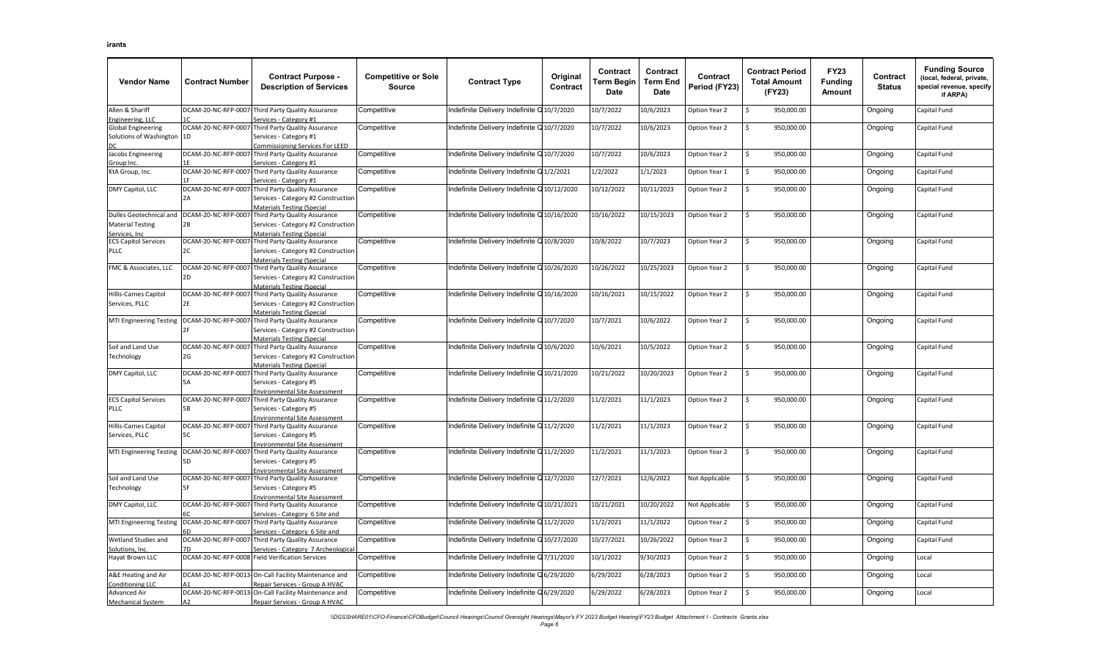| <b>Vendor Name</b>                                                   | <b>Contract Number</b>     | <b>Contract Purpose -</b><br><b>Description of Services</b>                                                                   | <b>Competitive or Sole</b><br><b>Source</b> | <b>Contract Type</b>                        | Original<br>Contract | Contract<br>Term Begin<br>Date | Contract<br><b>Term End</b><br>Date | Contract<br>Period (FY23) | <b>Contract Period</b><br><b>Total Amount</b><br>(FY23) | <b>FY23</b><br><b>Funding</b><br>Amount | Contract<br><b>Status</b> | <b>Funding Source</b><br>(local, federal, private,<br>special revenue, specify<br>if ARPA) |
|----------------------------------------------------------------------|----------------------------|-------------------------------------------------------------------------------------------------------------------------------|---------------------------------------------|---------------------------------------------|----------------------|--------------------------------|-------------------------------------|---------------------------|---------------------------------------------------------|-----------------------------------------|---------------------------|--------------------------------------------------------------------------------------------|
| Allen & Shariff<br>Engineering, LLC                                  |                            | DCAM-20-NC-RFP-0007-Third Party Quality Assurance<br>Services - Category #1                                                   | Competitive                                 | ndefinite Delivery Indefinite Q10/7/2020    |                      | 10/7/2022                      | 10/6/2023                           | Option Year 2             | Ś<br>950,000.00                                         |                                         | Ongoing                   | Capital Fund                                                                               |
| <b>Global Engineering</b><br>Solutions of Washington                 | 1D                         | DCAM-20-NC-RFP-0007-Third Party Quality Assurance<br>Services - Category #1<br>Commissioning Services For LEED                | Competitive                                 | ndefinite Delivery Indefinite Q10/7/2020    |                      | 10/7/2022                      | 10/6/2023                           | Option Year 2             | Ś<br>950,000.00                                         |                                         | Ongoing                   | Capital Fund                                                                               |
| Jacobs Engineering<br>Group Inc.                                     |                            | DCAM-20-NC-RFP-0007-Third Party Quality Assurance<br>Services - Category #1                                                   | Competitive                                 | ndefinite Delivery Indefinite Q10/7/2020    |                      | 10/7/2022                      | 10/6/2023                           | Option Year 2             | \$<br>950,000.00                                        |                                         | Ongoing                   | Capital Fund                                                                               |
| KtA Group, Inc.                                                      |                            | DCAM-20-NC-RFP-0007-Third Party Quality Assurance<br>ervices - Category #1                                                    | Competitive                                 | Indefinite Delivery Indefinite Q1/2/2021    |                      | 1/2/2022                       | 1/1/2023                            | Option Year 1             | 950,000.00<br>Ś                                         |                                         | Ongoing                   | Capital Fund                                                                               |
| DMY Capitol, LLC                                                     | DCAM-20-NC-RFP-0007        | Third Party Quality Assurance<br>Services - Category #2 Construction<br>Materials Testing (Special                            | Competitive                                 | ndefinite Delivery Indefinite Q 10/12/2020  |                      | 10/12/2022                     | 10/11/2023                          | Option Year 2             | Ś<br>950,000.00                                         |                                         | Ongoing                   | Capital Fund                                                                               |
| Dulles Geotechnical and<br><b>Material Testing</b><br>Services. Inc. | 2B                         | DCAM-20-NC-RFP-0007-Third Party Quality Assurance<br>Services - Category #2 Construction<br>Materials Testing (Special        | Competitive                                 | ndefinite Delivery Indefinite Q10/16/2020   |                      | 10/16/2022                     | 10/15/2023                          | Option Year 2             | Ś.<br>950,000.00                                        |                                         | Ongoing                   | Capital Fund                                                                               |
| <b>ECS Capitol Services</b><br><b>PLLC</b>                           | 2C                         | DCAM-20-NC-RFP-0007-Third Party Quality Assurance<br>Services - Category #2 Construction<br><b>Materials Testing (Special</b> | Competitive                                 | ndefinite Delivery Indefinite Q10/8/2020    |                      | 10/8/2022                      | 10/7/2023                           | Option Year 2             | \$<br>950,000.00                                        |                                         | Ongoing                   | Capital Fund                                                                               |
| FMC & Associates, LLC                                                | 2D.                        | DCAM-20-NC-RFP-0007-Third Party Quality Assurance<br>Services - Category #2 Construction<br>Materials Testing (Special        | Competitive                                 | Indefinite Delivery Indefinite Q10/26/2020  |                      | 10/26/2022                     | 10/25/2023                          | Option Year 2             | Ś<br>950,000.00                                         |                                         | Ongoing                   | Capital Fund                                                                               |
| Hillis-Carnes Capitol<br>Services, PLLC                              | 2E                         | DCAM-20-NC-RFP-0007-Third Party Quality Assurance<br>Services - Category #2 Construction<br>Materials Testing (Special        | Competitive                                 | ndefinite Delivery Indefinite Q10/16/2020   |                      | 10/16/2021                     | 10/15/2022                          | Option Year 2             | \$<br>950,000.00                                        |                                         | Ongoing                   | Capital Fund                                                                               |
| <b>MTI Engineering Testing</b>                                       |                            | DCAM-20-NC-RFP-0007-Third Party Quality Assurance<br>Services - Category #2 Construction<br><b>Materials Testing (Special</b> | Competitive                                 | ndefinite Delivery Indefinite Q10/7/2020    |                      | 10/7/2021                      | 10/6/2022                           | Option Year 2             | \$<br>950,000.00                                        |                                         | Ongoing                   | Capital Fund                                                                               |
| Soil and Land Use<br>Technology                                      | 2G                         | DCAM-20-NC-RFP-0007-Third Party Quality Assurance<br>Services - Category #2 Construction<br><b>Materials Testing (Special</b> | Competitive                                 | ndefinite Delivery Indefinite Q10/6/2020    |                      | 10/6/2021                      | 10/5/2022                           | Option Year 2             | \$<br>950,000.00                                        |                                         | Ongoing                   | Capital Fund                                                                               |
| DMY Capitol, LLC                                                     | <b>5A</b>                  | DCAM-20-NC-RFP-0007-Third Party Quality Assurance<br>Services - Category #5<br><b>Environmental Site Assessment</b>           | Competitive                                 | Indefinite Delivery Indefinite Q10/21/2020  |                      | 10/21/2022                     | 10/20/2023                          | Option Year 2             | Ś.<br>950,000.00                                        |                                         | Ongoing                   | Capital Fund                                                                               |
| <b>ECS Capitol Services</b><br><b>PLLC</b>                           | 5 <sub>B</sub>             | DCAM-20-NC-RFP-0007-Third Party Quality Assurance<br>Services - Category #5<br><b>Environmental Site Assessment</b>           | Competitive                                 | Indefinite Delivery Indefinite Q11/2/2020   |                      | 11/2/2021                      | 11/1/2023                           | Option Year 2             | Ś.<br>950,000.00                                        |                                         | Ongoing                   | Capital Fund                                                                               |
| Hillis-Carnes Capitol<br>Services, PLLC                              | 5C                         | DCAM-20-NC-RFP-0007-Third Party Quality Assurance<br>Services - Category #5<br>Environmental Site Assessment                  | Competitive                                 | ndefinite Delivery Indefinite Q11/2/2020    |                      | 11/2/2021                      | 11/1/2023                           | Option Year 2             | Ś<br>950,000.00                                         |                                         | Ongoing                   | Capital Fund                                                                               |
| <b>MTI Engineering Testing</b>                                       | DCAM-20-NC-RFP-0007-<br>5D | Third Party Quality Assurance<br>Services - Category #5<br><b>Environmental Site Assessment</b>                               | Competitive                                 | Indefinite Delivery Indefinite Q11/2/2020   |                      | 11/2/2021                      | 11/1/2023                           | Option Year 2             | Ś.<br>950,000.00                                        |                                         | Ongoing                   | Capital Fund                                                                               |
| Soil and Land Use<br>Technology                                      | 5F                         | DCAM-20-NC-RFP-0007-Third Party Quality Assurance<br>Services - Category #5<br><b>Environmental Site Assessment</b>           | Competitive                                 | ndefinite Delivery Indefinite Q12/7/2020    |                      | 12/7/2021                      | 12/6/2022                           | Not Applicable            | Ś.<br>950,000.00                                        |                                         | Ongoing                   | Capital Fund                                                                               |
| DMY Capitol, LLC                                                     | DCAM-20-NC-RFP-0007        | Third Party Quality Assurance<br>Services - Category 6 Site and                                                               | Competitive                                 | Indefinite Delivery Indefinite Q10/21/2021  |                      | 10/21/2021                     | 10/20/2022                          | Not Applicable            | Ś.<br>950,000.00                                        |                                         | Ongoing                   | Capital Fund                                                                               |
| <b>MTI Engineering Testing</b>                                       |                            | DCAM-20-NC-RFP-0007-Third Party Quality Assurance<br>Services - Category 6 Site and                                           | Competitive                                 | ndefinite Delivery Indefinite Q11/2/2020    |                      | 11/2/2021                      | 11/1/2022                           | Option Year 2             | Ś.<br>950,000.00                                        |                                         | Ongoing                   | Capital Fund                                                                               |
| Wetland Studies and<br>Solutions, Inc.                               | DCAM-20-NC-RFP-0007        | Third Party Quality Assurance<br>Services - Category 7 Archeological                                                          | Competitive                                 | Indefinite Delivery Indefinite Q 10/27/2020 |                      | 10/27/2021                     | 10/26/2022                          | Option Year 2             | Ś.<br>950,000.00                                        |                                         | Ongoing                   | Capital Fund                                                                               |
| Hayat Brown LLC                                                      |                            | DCAM-20-NC-RFP-0008 Field Verification Services                                                                               | Competitive                                 | Indefinite Delivery Indefinite Q7/31/2020   |                      | 10/1/2022                      | 9/30/2023                           | Option Year 2             | Ś<br>950,000.00                                         |                                         | Ongoing                   | Local                                                                                      |
| A&E Heating and Air<br><b>Conditioning LLC</b>                       |                            | DCAM-20-NC-RFP-0013-On-Call Facility Maintenance and<br>epair Services - Group A HVAC                                         | Competitive                                 | ndefinite Delivery Indefinite Q6/29/2020    |                      | 6/29/2022                      | 6/28/2023                           | Option Year 2             | \$<br>950,000.00                                        |                                         | Ongoing                   | Local                                                                                      |
| <b>Advanced Air</b><br>Mechanical System                             | A2                         | DCAM-20-NC-RFP-0013-On-Call Facility Maintenance and<br>Repair Services - Group A HVAC                                        | Competitive                                 | ndefinite Delivery Indefinite Q6/29/2020    |                      | 6/29/2022                      | 6/28/2023                           | Option Year 2             | \$<br>950,000.00                                        |                                         | Ongoing                   | Local                                                                                      |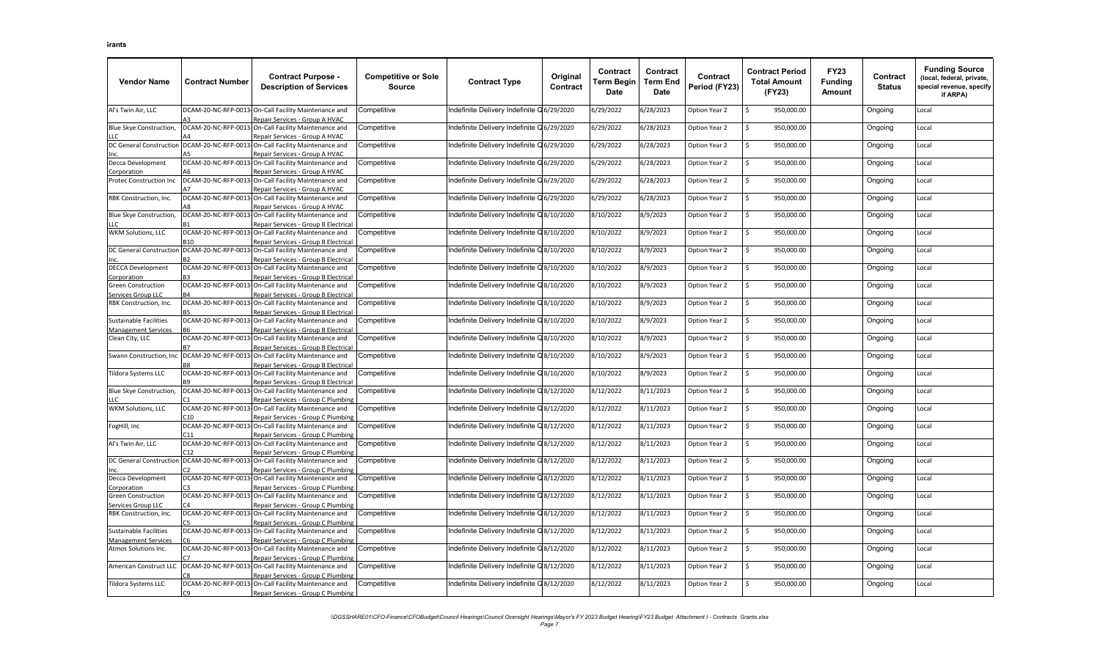| <b>Vendor Name</b>                                 | <b>Contract Number</b> | <b>Contract Purpose -</b><br><b>Description of Services</b>                                  | <b>Competitive or Sole</b><br><b>Source</b> | <b>Contract Type</b>                      | Original<br>Contract | Contract<br>Term Begin<br>Date | Contract<br><b>Term End</b><br>Date | Contract<br>Period (FY23) | <b>Contract Period</b><br><b>Total Amount</b><br>(FY23) | <b>FY23</b><br><b>Funding</b><br>Amount | Contract<br><b>Status</b> | <b>Funding Source</b><br>(local, federal, private,<br>special revenue, specify<br>if ARPA) |
|----------------------------------------------------|------------------------|----------------------------------------------------------------------------------------------|---------------------------------------------|-------------------------------------------|----------------------|--------------------------------|-------------------------------------|---------------------------|---------------------------------------------------------|-----------------------------------------|---------------------------|--------------------------------------------------------------------------------------------|
| Al's Twin Air, LLC                                 |                        | DCAM-20-NC-RFP-0013-On-Call Facility Maintenance and<br>Repair Services - Group A HVAC       | Competitive                                 | ndefinite Delivery Indefinite Q6/29/2020  |                      | 6/29/2022                      | 6/28/2023                           | Option Year 2             | 950,000.00<br>Ś                                         |                                         | Ongoing                   | Local                                                                                      |
| Blue Skye Construction,<br>LLC.                    |                        | DCAM-20-NC-RFP-0013-On-Call Facility Maintenance and<br>Repair Services - Group A HVAC       | Competitive                                 | ndefinite Delivery Indefinite Q 6/29/2020 |                      | 6/29/2022                      | 6/28/2023                           | Option Year 2             | Ś.<br>950,000.00                                        |                                         | Ongoing                   | Local                                                                                      |
| <b>DC General Construction</b>                     |                        | DCAM-20-NC-RFP-0013-On-Call Facility Maintenance and                                         | Competitive                                 | ndefinite Delivery Indefinite Q 6/29/2020 |                      | 6/29/2022                      | 6/28/2023                           | Option Year 2             | Ś.<br>950,000.00                                        |                                         | Ongoing                   | Local                                                                                      |
| Decca Development                                  | DCAM-20-NC-RFP-0013    | Repair Services - Group A HVAC<br>On-Call Facility Maintenance and                           | Competitive                                 | ndefinite Delivery Indefinite Q6/29/2020  |                      | 6/29/2022                      | 6/28/2023                           | Option Year 2             | \$<br>950,000.00                                        |                                         | Ongoing                   | Local                                                                                      |
| Corporation<br>Protec Construction Inc             |                        | Repair Services - Group A HVAC<br>DCAM-20-NC-RFP-0013-On-Call Facility Maintenance and       | Competitive                                 | ndefinite Delivery Indefinite Q6/29/2020  |                      | 6/29/2022                      | 6/28/2023                           | Option Year 2             | \$<br>950,000.00                                        |                                         | Ongoing                   | Local                                                                                      |
| RBK Construction, Inc.                             |                        | Repair Services - Group A HVAC<br>DCAM-20-NC-RFP-0013-On-Call Facility Maintenance and       | Competitive                                 | ndefinite Delivery Indefinite Q6/29/2020  |                      | 6/29/2022                      | 6/28/2023                           | Option Year 2             | Ś<br>950,000.00                                         |                                         | Ongoing                   | Local                                                                                      |
| Blue Skye Construction,                            |                        | Repair Services - Group A HVAC<br>DCAM-20-NC-RFP-0013-On-Call Facility Maintenance and       | Competitive                                 | ndefinite Delivery Indefinite Q8/10/2020  |                      | 8/10/2022                      | 8/9/2023                            | Option Year 2             | 950,000.00<br>Ś                                         |                                         | Ongoing                   | Local                                                                                      |
| LLC<br><b>WKM Solutions, LLC</b>                   |                        | Repair Services - Group B Electrical<br>DCAM-20-NC-RFP-0013-On-Call Facility Maintenance and | Competitive                                 | ndefinite Delivery Indefinite Q8/10/2020  |                      | 8/10/2022                      | 8/9/2023                            | Option Year 2             | 950,000.00<br>\$                                        |                                         | Ongoing                   | Local                                                                                      |
| <b>DC General Construction</b>                     | <b>B10</b>             | Repair Services - Group B Electrical<br>DCAM-20-NC-RFP-0013-On-Call Facility Maintenance and | Competitive                                 | ndefinite Delivery Indefinite Q8/10/2020  |                      | 8/10/2022                      | 8/9/2023                            | Option Year 2             | Ś.<br>950,000.00                                        |                                         | Ongoing                   | Local                                                                                      |
| <b>DECCA Development</b>                           |                        | Repair Services - Group B Electrical<br>DCAM-20-NC-RFP-0013-On-Call Facility Maintenance and | Competitive                                 | ndefinite Delivery Indefinite Q8/10/2020  |                      | 8/10/2022                      | 8/9/2023                            | Option Year 2             | \$<br>950,000.00                                        |                                         | Ongoing                   | Local                                                                                      |
| Corporation<br><b>Green Construction</b>           | DCAM-20-NC-RFP-0013    | Repair Services - Group B Electrical<br>On-Call Facility Maintenance and                     | Competitive                                 | ndefinite Delivery Indefinite Q8/10/2020  |                      | 8/10/2022                      | 8/9/2023                            | Option Year 2             | 950,000.00<br>Ś                                         |                                         | Ongoing                   | Local                                                                                      |
| Services Group LLC<br>RBK Construction, Inc.       |                        | Repair Services - Group B Electrical<br>DCAM-20-NC-RFP-0013-On-Call Facility Maintenance and | Competitive                                 | ndefinite Delivery Indefinite Q8/10/2020  |                      | 8/10/2022                      | 8/9/2023                            | Option Year 2             | 950,000.00<br>Ś                                         |                                         | Ongoing                   | Local                                                                                      |
| <b>Sustainable Facilities</b>                      |                        | Repair Services - Group B Electrical<br>DCAM-20-NC-RFP-0013-On-Call Facility Maintenance and | Competitive                                 | ndefinite Delivery Indefinite Q8/10/2020  |                      | 8/10/2022                      | 8/9/2023                            | Option Year 2             | Ś.<br>950,000.00                                        |                                         | Ongoing                   | Local                                                                                      |
| <b>Management Services</b><br>Clean City, LLC      |                        | Repair Services - Group B Electrical<br>DCAM-20-NC-RFP-0013-On-Call Facility Maintenance and | Competitive                                 | ndefinite Delivery Indefinite Q8/10/2020  |                      | 8/10/2022                      | 8/9/2023                            | Option Year 2             | Ś<br>950,000.00                                         |                                         | Ongoing                   | Local                                                                                      |
| Swann Construction, Inc                            |                        | Repair Services - Group B Electrical<br>DCAM-20-NC-RFP-0013-On-Call Facility Maintenance and | Competitive                                 | ndefinite Delivery Indefinite Q8/10/2020  |                      | 8/10/2022                      | 8/9/2023                            | Option Year 2             | \$<br>950,000.00                                        |                                         | Ongoing                   | Local                                                                                      |
| Tildora Systems LLC                                |                        | Repair Services - Group B Electrical<br>DCAM-20-NC-RFP-0013-On-Call Facility Maintenance and | Competitive                                 | ndefinite Delivery Indefinite Q8/10/2020  |                      | 8/10/2022                      | 8/9/2023                            | Option Year 2             | \$<br>950,000.00                                        |                                         | Ongoing                   | Local                                                                                      |
| Blue Skye Construction,                            |                        | Repair Services - Group B Electrical<br>DCAM-20-NC-RFP-0013-On-Call Facility Maintenance and | Competitive                                 | ndefinite Delivery Indefinite Q8/12/2020  |                      | 8/12/2022                      | 8/11/2023                           | Option Year 2             | \$<br>950,000.00                                        |                                         | Ongoing                   | Local                                                                                      |
| <b>WKM Solutions, LLC</b>                          |                        | Repair Services - Group C Plumbing<br>DCAM-20-NC-RFP-0013-On-Call Facility Maintenance and   | Competitive                                 | ndefinite Delivery Indefinite Q8/12/2020  |                      | 8/12/2022                      | 8/11/2023                           | Option Year 2             | \$<br>950,000.00                                        |                                         | Ongoing                   | Local                                                                                      |
| FogHill, Inc                                       |                        | Repair Services - Group C Plumbing<br>DCAM-20-NC-RFP-0013-On-Call Facility Maintenance and   | Competitive                                 | Indefinite Delivery Indefinite Q8/12/2020 |                      | 8/12/2022                      | 8/11/2023                           | Option Year 2             | 950,000.00<br>Ś                                         |                                         | Ongoing                   | Local                                                                                      |
| Al's Twin Air, LLC                                 |                        | Repair Services - Group C Plumbing<br>DCAM-20-NC-RFP-0013-On-Call Facility Maintenance and   | Competitive                                 | ndefinite Delivery Indefinite Q8/12/2020  |                      | 8/12/2022                      | 8/11/2023                           | Option Year 2             | Ś.<br>950,000.00                                        |                                         | Ongoing                   | Local                                                                                      |
| <b>DC General Construction</b>                     |                        | Repair Services - Group C Plumbing<br>DCAM-20-NC-RFP-0013-On-Call Facility Maintenance and   | Competitive                                 | ndefinite Delivery Indefinite Q8/12/2020  |                      | 8/12/2022                      | 8/11/2023                           | Option Year 2             | Ś<br>950,000.00                                         |                                         | Ongoing                   | Local                                                                                      |
| Decca Development                                  |                        | Repair Services - Group C Plumbing<br>DCAM-20-NC-RFP-0013-On-Call Facility Maintenance and   | Competitive                                 | ndefinite Delivery Indefinite Q8/12/2020  |                      | 8/12/2022                      | 8/11/2023                           | Option Year 2             | \$<br>950,000.00                                        |                                         | Ongoing                   | Local                                                                                      |
| Corporation<br><b>Green Construction</b>           | DCAM-20-NC-RFP-0013    | Repair Services - Group C Plumbing<br>-On-Call Facility Maintenance and                      | Competitive                                 | ndefinite Delivery Indefinite Q8/12/2020  |                      | 8/12/2022                      | 8/11/2023                           | Option Year 2             | \$<br>950,000.00                                        |                                         | Ongoing                   | Local                                                                                      |
| Services Group LLC<br>RBK Construction, Inc.       |                        | Repair Services - Group C Plumbing<br>DCAM-20-NC-RFP-0013-On-Call Facility Maintenance and   | Competitive                                 | ndefinite Delivery Indefinite Q8/12/2020  |                      | 8/12/2022                      | 8/11/2023                           | Option Year 2             | Ś<br>950,000.00                                         |                                         | Ongoing                   | Local                                                                                      |
| <b>Sustainable Facilities</b>                      |                        | Repair Services - Group C Plumbing<br>DCAM-20-NC-RFP-0013-On-Call Facility Maintenance and   | Competitive                                 | ndefinite Delivery Indefinite Q8/12/2020  |                      | 8/12/2022                      | 8/11/2023                           | Option Year 2             | \$<br>950,000.00                                        |                                         | Ongoing                   | Local                                                                                      |
| <b>Management Services</b><br>Atmos Solutions Inc. |                        | Repair Services - Group C Plumbing<br>DCAM-20-NC-RFP-0013-On-Call Facility Maintenance and   | Competitive                                 | ndefinite Delivery Indefinite Q8/12/2020  |                      | 8/12/2022                      | 8/11/2023                           |                           | Ś<br>950,000.00                                         |                                         | Ongoing                   |                                                                                            |
|                                                    |                        | Repair Services - Group C Plumbing                                                           |                                             |                                           |                      |                                |                                     | Option Year 2             | Ś                                                       |                                         |                           | Local                                                                                      |
| American Construct LLC                             |                        | DCAM-20-NC-RFP-0013-On-Call Facility Maintenance and<br>Repair Services - Group C Plumbing   | competitive.                                | Indefinite Delivery Indefinite Q8/12/2020 |                      | 8/12/2022                      | 8/11/2023                           | Option Year 2             | 950,000.00                                              |                                         | Ongoing                   | Local                                                                                      |
| Tildora Systems LLC                                | rq                     | DCAM-20-NC-RFP-0013-On-Call Facility Maintenance and<br>Repair Services - Group C Plumbing   | Competitive                                 | ndefinite Delivery Indefinite Q8/12/2020  |                      | 8/12/2022                      | 8/11/2023                           | Option Year 2             | Ŝ.<br>950,000.00                                        |                                         | Ongoing                   | Local                                                                                      |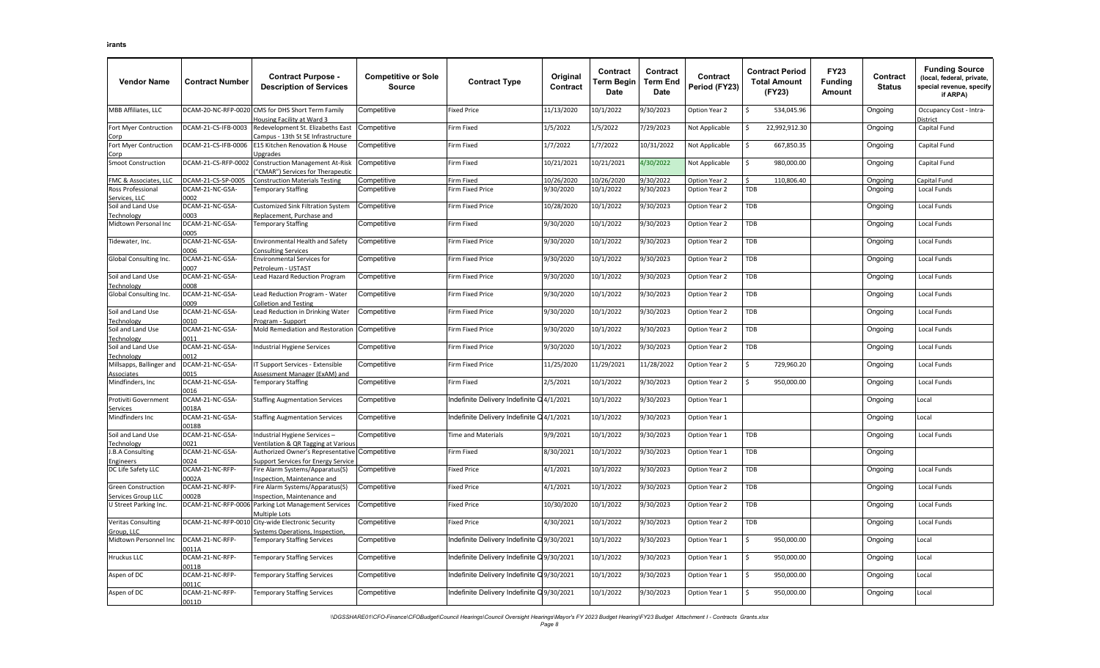| <b>Vendor Name</b>                      | <b>Contract Number</b>   | <b>Contract Purpose -</b><br><b>Description of Services</b>                        | <b>Competitive or Sole</b><br><b>Source</b> | <b>Contract Type</b>                      | Original<br>Contract | Contract<br>Term Begin<br>Date | Contract<br>Term End<br><b>Date</b> | Contract<br>Period (FY23) | <b>Contract Period</b><br><b>Total Amount</b><br>(FY23) | <b>FY23</b><br><b>Funding</b><br>Amount | Contract<br><b>Status</b> | <b>Funding Source</b><br>(local, federal, private,<br>pecial revenue, specify<br>if ARPA) |
|-----------------------------------------|--------------------------|------------------------------------------------------------------------------------|---------------------------------------------|-------------------------------------------|----------------------|--------------------------------|-------------------------------------|---------------------------|---------------------------------------------------------|-----------------------------------------|---------------------------|-------------------------------------------------------------------------------------------|
| MBB Affiliates, LLC                     | OCAM-20-NC-RFP-0020      | CMS for DHS Short Term Family<br><b>Housing Facility at Ward 3</b>                 | Competitive                                 | Fixed Price                               | 11/13/2020           | 10/1/2022                      | 9/30/2023                           | Option Year 2             | 534,045.96<br>Ś                                         |                                         | Ongoing                   | Occupancy Cost - Intra-<br><b>District</b>                                                |
| Fort Myer Contruction                   | DCAM-21-CS-IFB-0003      | Redevelopment St. Elizabeths East<br>ampus - 13th St SE Infrastructure             | Competitive                                 | Firm Fixed                                | 1/5/2022             | 1/5/2022                       | 7/29/2023                           | Not Applicable            | 22,992,912.30<br>Ś                                      |                                         | Ongoing                   | Capital Fund                                                                              |
| Fort Myer Contruction<br><u>Corp</u>    | 0CAM-21-CS-IFB-0006      | E15 Kitchen Renovation & House<br>Jpgrades                                         | Competitive                                 | Firm Fixed                                | 1/7/2022             | 1/7/2022                       | 10/31/2022                          | Not Applicable            | 667,850.35<br>Ś                                         |                                         | Ongoing                   | Capital Fund                                                                              |
| Smoot Construction                      | OCAM-21-CS-RFP-0002      | Construction Management At-Risk<br>'CMAR") Services for Therapeutic                | Competitive                                 | Firm Fixed                                | 10/21/2021           | 10/21/2021                     | 4/30/2022                           | Not Applicable            | Ś<br>980,000.00                                         |                                         | Ongoing                   | Capital Fund                                                                              |
| FMC & Associates, LLC                   | DCAM-21-CS-SP-0005       | <b>Construction Materials Testing</b>                                              | Competitive                                 | Firm Fixed                                | 10/26/2020           | 10/26/2020                     | 9/30/2022                           | Option Year 2             | ¢<br>110,806.40                                         |                                         | Ongoing                   | Capital Fund                                                                              |
| Ross Professional                       | OCAM-21-NC-GSA-          | <b>Temporary Staffing</b>                                                          | Competitive                                 | <b>Firm Fixed Price</b>                   | 9/30/2020            | 10/1/2022                      | 9/30/2023                           | Option Year 2             | TDB                                                     |                                         | Ongoing                   | Local Funds                                                                               |
| Services. LLC                           | 2002                     |                                                                                    |                                             |                                           |                      |                                |                                     |                           |                                                         |                                         |                           |                                                                                           |
| Soil and Land Use<br><b>Technology</b>  | DCAM-21-NC-GSA-<br>0003  | Customized Sink Filtration System<br>Replacement, Purchase and                     | Competitive                                 | irm Fixed Price                           | 10/28/2020           | 10/1/2022                      | 9/30/2023                           | Option Year 2             | TDB                                                     |                                         | Ongoing                   | Local Funds                                                                               |
| Midtown Personal Inc                    | DCAM-21-NC-GSA-          | <b>Temporary Staffing</b>                                                          | Competitive                                 | Firm Fixed                                | 9/30/2020            | 10/1/2022                      | 9/30/2023                           | Option Year 2             | <b>TDB</b>                                              |                                         | Ongoing                   | <b>Local Funds</b>                                                                        |
|                                         | 0005                     |                                                                                    |                                             |                                           |                      |                                |                                     |                           |                                                         |                                         |                           |                                                                                           |
| Fidewater, Inc.                         | DCAM-21-NC-GSA-<br>1006  | <b>Environmental Health and Safety</b><br><b>Consulting Services</b>               | Competitive                                 | Firm Fixed Price                          | 9/30/2020            | 10/1/2022                      | 9/30/2023                           | Option Year 2             | TDB                                                     |                                         | Ongoing                   | Local Funds                                                                               |
| <b>Global Consulting Inc.</b>           | DCAM-21-NC-GSA-<br>0007  | <b>Environmental Services for</b><br>etroleum - USTAST                             | Competitive                                 | <b>Firm Fixed Price</b>                   | 9/30/2020            | 10/1/2022                      | 9/30/2023                           | Option Year 2             | TDB                                                     |                                         | Ongoing                   | Local Funds                                                                               |
| Soil and Land Use<br><b>Technology</b>  | DCAM-21-NC-GSA-<br>0008  | ead Hazard Reduction Program                                                       | Competitive                                 | irm Fixed Price                           | 9/30/2020            | 10/1/2022                      | 9/30/2023                           | Option Year 2             | TDB                                                     |                                         | Ongoing                   | Local Funds                                                                               |
| Global Consulting Inc.                  | DCAM-21-NC-GSA-<br>2009  | ead Reduction Program - Water<br>olletion and Testing                              | Competitive                                 | Firm Fixed Price                          | 9/30/2020            | 10/1/2022                      | 9/30/2023                           | Option Year 2             | TDB                                                     |                                         | Ongoing                   | Local Funds                                                                               |
| Soil and Land Use<br><b>Technology</b>  | DCAM-21-NC-GSA-<br>010   | ead Reduction in Drinking Water<br>rogram - Support                                | Competitive                                 | irm Fixed Price                           | 9/30/2020            | 10/1/2022                      | 9/30/2023                           | Option Year 2             | TDB                                                     |                                         | Ongoing                   | Local Funds                                                                               |
| Soil and Land Use                       | DCAM-21-NC-GSA-          | Mold Remediation and Restoration                                                   | Competitive                                 | <b>Firm Fixed Price</b>                   | 9/30/2020            | 10/1/2022                      | 9/30/2023                           | Option Year 2             | TDB                                                     |                                         | Ongoing                   | Local Funds                                                                               |
| Technology<br>Soil and Land Use         | 0011<br>DCAM-21-NC-GSA-  | <b>Industrial Hygiene Services</b>                                                 | Competitive                                 | <b>Firm Fixed Price</b>                   | 9/30/2020            | 10/1/2022                      | 9/30/2023                           | Option Year 2             | TDB                                                     |                                         | Ongoing                   | Local Funds                                                                               |
| echnology                               | 0012                     |                                                                                    |                                             |                                           |                      |                                |                                     |                           |                                                         |                                         |                           |                                                                                           |
| Millsapps, Ballinger and<br>Associates  | DCAM-21-NC-GSA<br>0015   | Support Services - Extensible<br>Assessment Manager (ExAM) and                     | Competitive                                 | irm Fixed Price                           | 11/25/2020           | 11/29/2021                     | 11/28/2022                          | Option Year 2             | Ś<br>729,960.20                                         |                                         | Ongoing                   | Local Funds                                                                               |
| Mindfinders, Inc                        | DCAM-21-NC-GSA-<br>0016  | <b>Temporary Staffing</b>                                                          | Competitive                                 | Firm Fixed                                | 2/5/2021             | 10/1/2022                      | 9/30/2023                           | Option Year 2             | 950,000.00<br>Ś.                                        |                                         | Ongoing                   | Local Funds                                                                               |
| Protiviti Government<br>iervices        | DCAM-21-NC-GSA-<br>0018A | <b>Staffing Augmentation Services</b>                                              | Competitive                                 | Indefinite Delivery Indefinite Q4/1/2021  |                      | 10/1/2022                      | 9/30/2023                           | Option Year 1             |                                                         |                                         | Ongoing                   | Local                                                                                     |
| Mindfinders Inc                         | DCAM-21-NC-GSA-<br>0018B | <b>Staffing Augmentation Services</b>                                              | Competitive                                 | ndefinite Delivery Indefinite Q4/1/2021   |                      | 10/1/2022                      | 9/30/2023                           | Option Year 1             |                                                         |                                         | Ongoing                   | Local                                                                                     |
| Soil and Land Use                       | DCAM-21-NC-GSA-<br>021   | ndustrial Hygiene Services-                                                        | Competitive                                 | <b>Time and Materials</b>                 | 9/9/2021             | 10/1/2022                      | 9/30/2023                           | Option Year 1             | TDB                                                     |                                         | Ongoing                   | Local Funds                                                                               |
| echnology<br>J.B.A Consulting           | DCAM-21-NC-GSA-          | entilation & QR Tagging at Variou<br>Authorized Owner's Representative Competitive |                                             | Firm Fixed                                | 8/30/2021            | 10/1/2022                      | 9/30/2023                           | Option Year 1             | <b>TDB</b>                                              |                                         | Ongoing                   |                                                                                           |
| Engineers                               | 0024                     | upport Services for Energy Service                                                 |                                             |                                           |                      |                                |                                     |                           |                                                         |                                         |                           |                                                                                           |
| DC Life Safety LLC                      | DCAM-21-NC-RFP-<br>0002A | ire Alarm Systems/Apparatus(S)<br>nspection. Maintenance and                       | Competitive                                 | Fixed Price                               | 4/1/2021             | 10/1/2022                      | 9/30/2023                           | Option Year 2             | TDB                                                     |                                         | Ongoing                   | Local Funds                                                                               |
| Green Construction<br>ervices Group LLC | DCAM-21-NC-RFP-<br>002B  | ire Alarm Systems/Apparatus(S)<br>nspection, Maintenance and                       | Competitive                                 | <b>Fixed Price</b>                        | 4/1/2021             | 10/1/2022                      | 9/30/2023                           | Option Year 2             | TDB                                                     |                                         | Ongoing                   | Local Funds                                                                               |
| U Street Parking Inc.                   | DCAM-21-NC-RFP-0006      | Parking Lot Management Services<br><b>Aultiple Lots</b>                            | Competitive                                 | <b>Fixed Price</b>                        | 10/30/2020           | 10/1/2022                      | 9/30/2023                           | Option Year 2             | TDB                                                     |                                         | Ongoing                   | Local Funds                                                                               |
| <b>Veritas Consulting</b>               | DCAM-21-NC-RFP-0010      | City-wide Electronic Security                                                      | Competitive                                 | <b>Fixed Price</b>                        | 4/30/2021            | 10/1/2022                      | 9/30/2023                           | Option Year 2             | TDB                                                     |                                         | Ongoing                   | Local Funds                                                                               |
| Group, LLC<br>Midtown Personnel Inc     | DCAM-21-NC-RFP-          | Systems Operations, Inspection<br><b>Temporary Staffing Services</b>               | Competitive                                 | ndefinite Delivery Indefinite Q9/30/2021  |                      | 10/1/2022                      | 9/30/2023                           | Option Year 1             | Ś.<br>950,000.00                                        |                                         | Ongoing                   | Local                                                                                     |
| Hruckus LLC                             | 0011A<br>DCAM-21-NC-RFP- | <b>Temporary Staffing Services</b>                                                 | Competitive                                 | ndefinite Delivery Indefinite Q9/30/2021  |                      | 10/1/2022                      | 9/30/2023                           | Option Year 1             | 950,000.00<br>Ś                                         |                                         | Ongoing                   | Local                                                                                     |
| Aspen of DC                             | 0011B<br>DCAM-21-NC-RFP- | <b>Temporary Staffing Services</b>                                                 | Competitive                                 | Indefinite Delivery Indefinite Q9/30/2021 |                      | 10/1/2022                      | 9/30/2023                           | Option Year 1             | 950,000.00<br>Ŝ.                                        |                                         | Ongoing                   | Local                                                                                     |
|                                         | 0011C                    |                                                                                    |                                             |                                           |                      |                                |                                     |                           |                                                         |                                         |                           |                                                                                           |
| Aspen of DC                             | DCAM-21-NC-RFP-<br>0011D | <b>Temporary Staffing Services</b>                                                 | Competitive                                 | ndefinite Delivery Indefinite Q9/30/2021  |                      | 10/1/2022                      | 9/30/2023                           | Option Year 1             | \$<br>950,000.00                                        |                                         | Ongoing                   | Local                                                                                     |